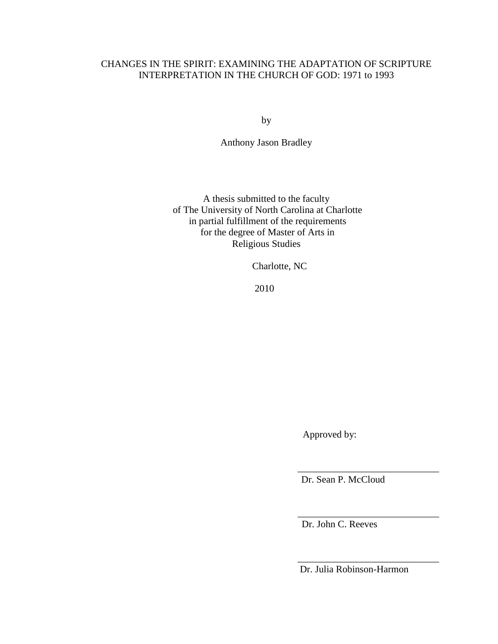# CHANGES IN THE SPIRIT: EXAMINING THE ADAPTATION OF SCRIPTURE INTERPRETATION IN THE CHURCH OF GOD: 1971 to 1993

by

Anthony Jason Bradley

A thesis submitted to the faculty of The University of North Carolina at Charlotte in partial fulfillment of the requirements for the degree of Master of Arts in Religious Studies

Charlotte, NC

2010

Approved by:

Dr. Sean P. McCloud

 $\frac{1}{\sqrt{2}}$  ,  $\frac{1}{\sqrt{2}}$  ,  $\frac{1}{\sqrt{2}}$  ,  $\frac{1}{\sqrt{2}}$  ,  $\frac{1}{\sqrt{2}}$  ,  $\frac{1}{\sqrt{2}}$  ,  $\frac{1}{\sqrt{2}}$  ,  $\frac{1}{\sqrt{2}}$  ,  $\frac{1}{\sqrt{2}}$  ,  $\frac{1}{\sqrt{2}}$  ,  $\frac{1}{\sqrt{2}}$  ,  $\frac{1}{\sqrt{2}}$  ,  $\frac{1}{\sqrt{2}}$  ,  $\frac{1}{\sqrt{2}}$  ,  $\frac{1}{\sqrt{2}}$ 

\_\_\_\_\_\_\_\_\_\_\_\_\_\_\_\_\_\_\_\_\_\_\_\_\_\_\_\_\_

\_\_\_\_\_\_\_\_\_\_\_\_\_\_\_\_\_\_\_\_\_\_\_\_\_\_\_\_\_

Dr. John C. Reeves

Dr. Julia Robinson-Harmon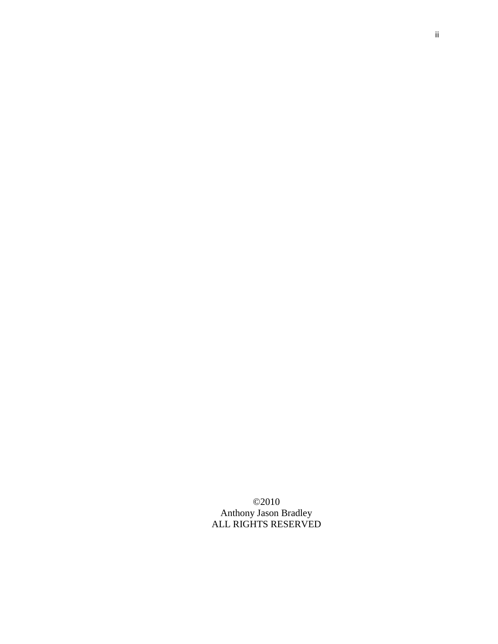©2010 Anthony Jason Bradley ALL RIGHTS RESERVED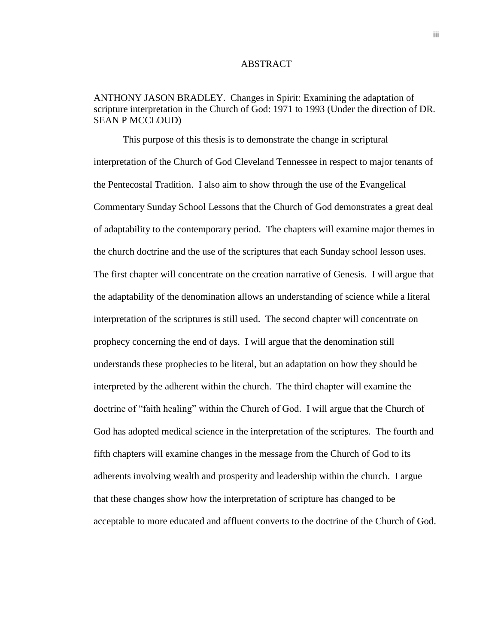#### ABSTRACT

# ANTHONY JASON BRADLEY. Changes in Spirit: Examining the adaptation of scripture interpretation in the Church of God: 1971 to 1993 (Under the direction of DR. SEAN P MCCLOUD)

This purpose of this thesis is to demonstrate the change in scriptural interpretation of the Church of God Cleveland Tennessee in respect to major tenants of the Pentecostal Tradition. I also aim to show through the use of the Evangelical Commentary Sunday School Lessons that the Church of God demonstrates a great deal of adaptability to the contemporary period. The chapters will examine major themes in the church doctrine and the use of the scriptures that each Sunday school lesson uses. The first chapter will concentrate on the creation narrative of Genesis. I will argue that the adaptability of the denomination allows an understanding of science while a literal interpretation of the scriptures is still used. The second chapter will concentrate on prophecy concerning the end of days. I will argue that the denomination still understands these prophecies to be literal, but an adaptation on how they should be interpreted by the adherent within the church. The third chapter will examine the doctrine of "faith healing" within the Church of God. I will argue that the Church of God has adopted medical science in the interpretation of the scriptures. The fourth and fifth chapters will examine changes in the message from the Church of God to its adherents involving wealth and prosperity and leadership within the church. I argue that these changes show how the interpretation of scripture has changed to be acceptable to more educated and affluent converts to the doctrine of the Church of God.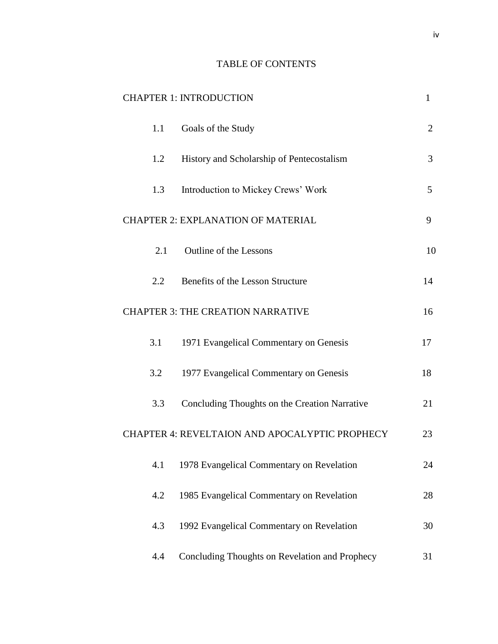# TABLE OF CONTENTS

|                                                | <b>CHAPTER 1: INTRODUCTION</b> |                                                |    |
|------------------------------------------------|--------------------------------|------------------------------------------------|----|
|                                                | 1.1                            | Goals of the Study                             | 2  |
|                                                | 1.2                            | History and Scholarship of Pentecostalism      | 3  |
|                                                | 1.3                            | Introduction to Mickey Crews' Work             | 5  |
| <b>CHAPTER 2: EXPLANATION OF MATERIAL</b>      | 9                              |                                                |    |
|                                                | 2.1                            | Outline of the Lessons                         | 10 |
|                                                | $2.2^{\circ}$                  | Benefits of the Lesson Structure               | 14 |
| <b>CHAPTER 3: THE CREATION NARRATIVE</b>       |                                |                                                |    |
|                                                | 3.1                            | 1971 Evangelical Commentary on Genesis         | 17 |
|                                                | 3.2                            | 1977 Evangelical Commentary on Genesis         | 18 |
|                                                | 3.3                            | Concluding Thoughts on the Creation Narrative  | 21 |
| CHAPTER 4: REVELTAION AND APOCALYPTIC PROPHECY |                                |                                                |    |
|                                                | 4.1                            | 1978 Evangelical Commentary on Revelation      | 24 |
|                                                | 4.2                            | 1985 Evangelical Commentary on Revelation      | 28 |
|                                                | 4.3                            | 1992 Evangelical Commentary on Revelation      | 30 |
|                                                | 4.4                            | Concluding Thoughts on Revelation and Prophecy | 31 |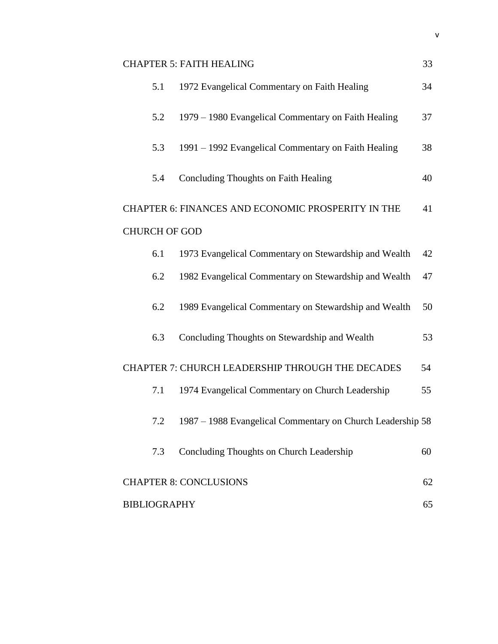|                                                               | <b>CHAPTER 5: FAITH HEALING</b>     |                                                            |    |  |  |  |
|---------------------------------------------------------------|-------------------------------------|------------------------------------------------------------|----|--|--|--|
|                                                               | 5.1                                 | 1972 Evangelical Commentary on Faith Healing               | 34 |  |  |  |
|                                                               | 5.2                                 | 1979 – 1980 Evangelical Commentary on Faith Healing        | 37 |  |  |  |
|                                                               | 5.3                                 | 1991 – 1992 Evangelical Commentary on Faith Healing        | 38 |  |  |  |
|                                                               | 5.4                                 | <b>Concluding Thoughts on Faith Healing</b>                | 40 |  |  |  |
|                                                               |                                     | CHAPTER 6: FINANCES AND ECONOMIC PROSPERITY IN THE         | 41 |  |  |  |
| <b>CHURCH OF GOD</b>                                          |                                     |                                                            |    |  |  |  |
|                                                               | 6.1                                 | 1973 Evangelical Commentary on Stewardship and Wealth      | 42 |  |  |  |
|                                                               | 6.2                                 | 1982 Evangelical Commentary on Stewardship and Wealth      | 47 |  |  |  |
|                                                               | 6.2                                 | 1989 Evangelical Commentary on Stewardship and Wealth      | 50 |  |  |  |
|                                                               | 6.3                                 | Concluding Thoughts on Stewardship and Wealth              | 53 |  |  |  |
| <b>CHAPTER 7: CHURCH LEADERSHIP THROUGH THE DECADES</b><br>54 |                                     |                                                            |    |  |  |  |
|                                                               | 7.1                                 | 1974 Evangelical Commentary on Church Leadership           | 55 |  |  |  |
|                                                               | 7.2                                 | 1987 - 1988 Evangelical Commentary on Church Leadership 58 |    |  |  |  |
|                                                               | 7.3                                 | Concluding Thoughts on Church Leadership                   | 60 |  |  |  |
|                                                               | <b>CHAPTER 8: CONCLUSIONS</b><br>62 |                                                            |    |  |  |  |
|                                                               | <b>BIBLIOGRAPHY</b>                 |                                                            |    |  |  |  |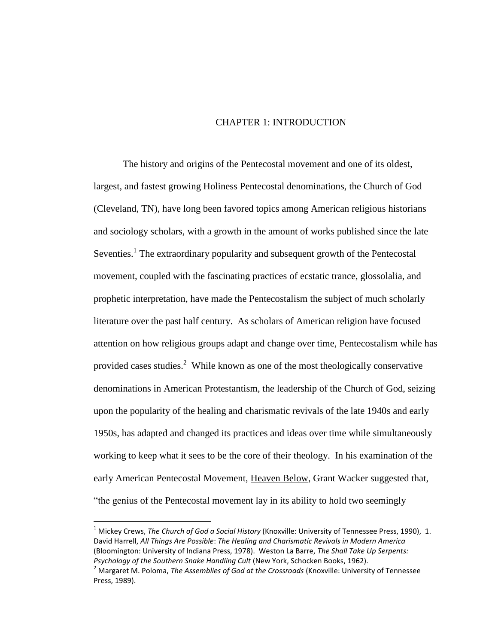# CHAPTER 1: INTRODUCTION

The history and origins of the Pentecostal movement and one of its oldest, largest, and fastest growing Holiness Pentecostal denominations, the Church of God (Cleveland, TN), have long been favored topics among American religious historians and sociology scholars, with a growth in the amount of works published since the late Seventies.<sup>1</sup> The extraordinary popularity and subsequent growth of the Pentecostal movement, coupled with the fascinating practices of ecstatic trance, glossolalia, and prophetic interpretation, have made the Pentecostalism the subject of much scholarly literature over the past half century. As scholars of American religion have focused attention on how religious groups adapt and change over time, Pentecostalism while has provided cases studies.<sup>2</sup> While known as one of the most theologically conservative denominations in American Protestantism, the leadership of the Church of God, seizing upon the popularity of the healing and charismatic revivals of the late 1940s and early 1950s, has adapted and changed its practices and ideas over time while simultaneously working to keep what it sees to be the core of their theology. In his examination of the early American Pentecostal Movement, Heaven Below, Grant Wacker suggested that, "the genius of the Pentecostal movement lay in its ability to hold two seemingly

<sup>1</sup> Mickey Crews, *The Church of God a Social History* (Knoxville: University of Tennessee Press, 1990), 1. David Harrell, *All Things Are Possible*: *The Healing and Charismatic Revivals in Modern America* (Bloomington: University of Indiana Press, 1978). Weston La Barre, *The Shall Take Up Serpents: Psychology of the Southern Snake Handling Cult* (New York, Schocken Books, 1962).

<sup>2</sup> Margaret M. Poloma, *The Assemblies of God at the Crossroads* (Knoxville: University of Tennessee Press, 1989).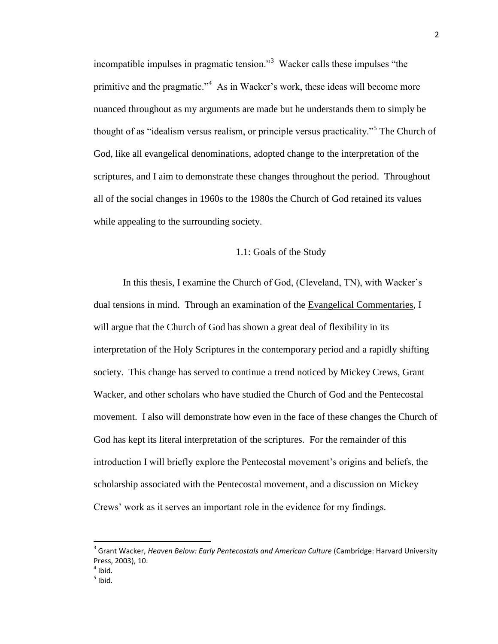incompatible impulses in pragmatic tension. $\mathbb{R}^3$  Wacker calls these impulses "the primitive and the pragmatic."<sup>4</sup> As in Wacker's work, these ideas will become more nuanced throughout as my arguments are made but he understands them to simply be thought of as "idealism versus realism, or principle versus practicality."<sup>5</sup> The Church of God, like all evangelical denominations, adopted change to the interpretation of the scriptures, and I aim to demonstrate these changes throughout the period. Throughout all of the social changes in 1960s to the 1980s the Church of God retained its values while appealing to the surrounding society.

#### 1.1: Goals of the Study

In this thesis, I examine the Church of God, (Cleveland, TN), with Wacker's dual tensions in mind. Through an examination of the Evangelical Commentaries, I will argue that the Church of God has shown a great deal of flexibility in its interpretation of the Holy Scriptures in the contemporary period and a rapidly shifting society. This change has served to continue a trend noticed by Mickey Crews, Grant Wacker, and other scholars who have studied the Church of God and the Pentecostal movement. I also will demonstrate how even in the face of these changes the Church of God has kept its literal interpretation of the scriptures. For the remainder of this introduction I will briefly explore the Pentecostal movement's origins and beliefs, the scholarship associated with the Pentecostal movement, and a discussion on Mickey Crews' work as it serves an important role in the evidence for my findings.

<sup>&</sup>lt;sup>3</sup> Grant Wacker, *Heaven Below: Early Pentecostals and American Culture* (Cambridge: Harvard University Press, 2003), 10.

 $<sup>4</sup>$  Ibid.</sup>

 $<sup>5</sup>$  Ibid.</sup>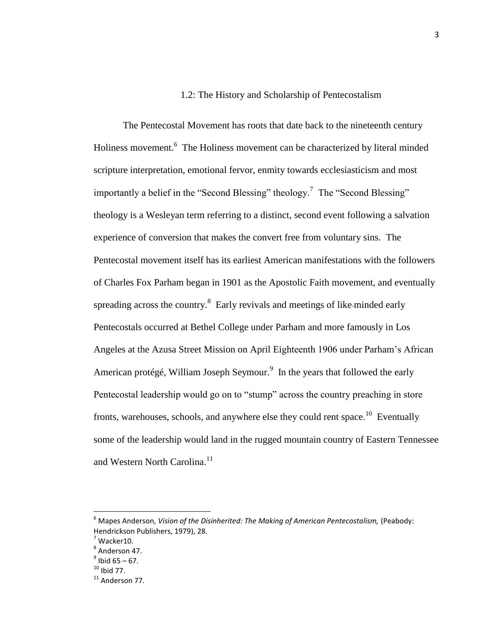## 1.2: The History and Scholarship of Pentecostalism

The Pentecostal Movement has roots that date back to the nineteenth century Holiness movement.<sup>6</sup> The Holiness movement can be characterized by literal minded scripture interpretation, emotional fervor, enmity towards ecclesiasticism and most importantly a belief in the "Second Blessing" theology.<sup>7</sup> The "Second Blessing" theology is a Wesleyan term referring to a distinct, second event following a salvation experience of conversion that makes the convert free from voluntary sins. The Pentecostal movement itself has its earliest American manifestations with the followers of Charles Fox Parham began in 1901 as the Apostolic Faith movement, and eventually spreading across the country. $8$  Early revivals and meetings of like-minded early Pentecostals occurred at Bethel College under Parham and more famously in Los Angeles at the Azusa Street Mission on April Eighteenth 1906 under Parham's African American protégé, William Joseph Seymour.<sup>9</sup> In the years that followed the early Pentecostal leadership would go on to "stump" across the country preaching in store fronts, warehouses, schools, and anywhere else they could rent space.<sup>10</sup> Eventually some of the leadership would land in the rugged mountain country of Eastern Tennessee and Western North Carolina.<sup>11</sup>

<sup>6</sup> Mapes Anderson, *Vision of the Disinherited: The Making of American Pentecostalism,* (Peabody: Hendrickson Publishers, 1979), 28.

 $^7$  Wacker10.

<sup>&</sup>lt;sup>8</sup> Anderson 47.

 $9$  Ibid 65 – 67.

 $10$  Ibid 77.

 $11$  Anderson 77.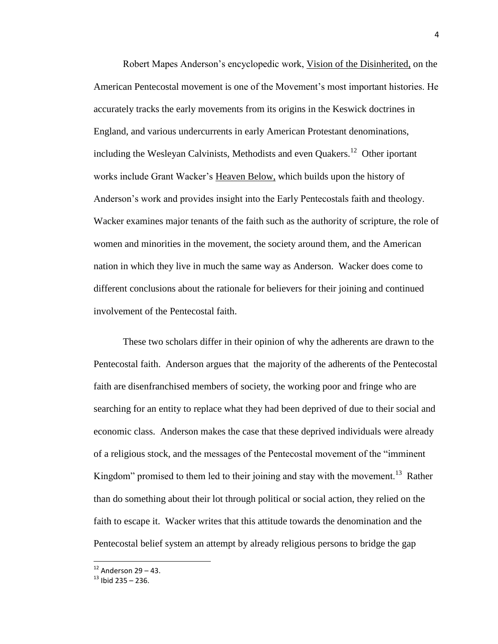Robert Mapes Anderson's encyclopedic work, Vision of the Disinherited, on the American Pentecostal movement is one of the Movement's most important histories. He accurately tracks the early movements from its origins in the Keswick doctrines in England, and various undercurrents in early American Protestant denominations, including the Wesleyan Calvinists, Methodists and even Quakers.<sup>12</sup> Other iportant works include Grant Wacker's Heaven Below, which builds upon the history of Anderson's work and provides insight into the Early Pentecostals faith and theology. Wacker examines major tenants of the faith such as the authority of scripture, the role of women and minorities in the movement, the society around them, and the American nation in which they live in much the same way as Anderson. Wacker does come to different conclusions about the rationale for believers for their joining and continued involvement of the Pentecostal faith.

These two scholars differ in their opinion of why the adherents are drawn to the Pentecostal faith. Anderson argues that the majority of the adherents of the Pentecostal faith are disenfranchised members of society, the working poor and fringe who are searching for an entity to replace what they had been deprived of due to their social and economic class. Anderson makes the case that these deprived individuals were already of a religious stock, and the messages of the Pentecostal movement of the "imminent" Kingdom" promised to them led to their joining and stay with the movement.<sup>13</sup> Rather than do something about their lot through political or social action, they relied on the faith to escape it. Wacker writes that this attitude towards the denomination and the Pentecostal belief system an attempt by already religious persons to bridge the gap

l

 $12$  Anderson 29 – 43.

 $13$  Ibid 235 – 236.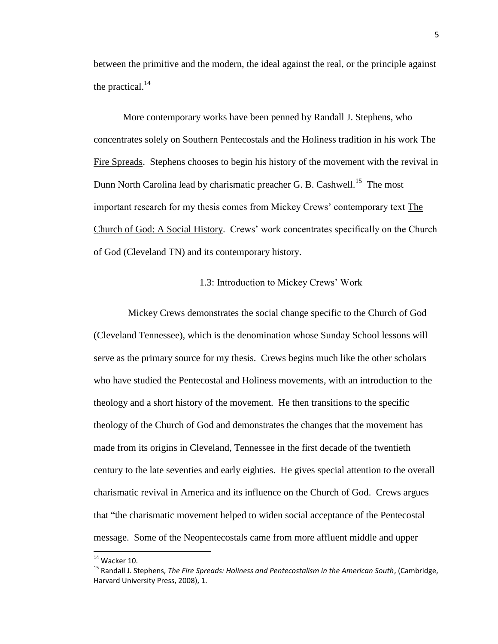between the primitive and the modern, the ideal against the real, or the principle against the practical. $^{14}$ 

More contemporary works have been penned by Randall J. Stephens, who concentrates solely on Southern Pentecostals and the Holiness tradition in his work The Fire Spreads. Stephens chooses to begin his history of the movement with the revival in Dunn North Carolina lead by charismatic preacher G. B. Cashwell.<sup>15</sup> The most important research for my thesis comes from Mickey Crews' contemporary text The Church of God: A Social History. Crews' work concentrates specifically on the Church of God (Cleveland TN) and its contemporary history.

#### 1.3: Introduction to Mickey Crews' Work

Mickey Crews demonstrates the social change specific to the Church of God (Cleveland Tennessee), which is the denomination whose Sunday School lessons will serve as the primary source for my thesis. Crews begins much like the other scholars who have studied the Pentecostal and Holiness movements, with an introduction to the theology and a short history of the movement. He then transitions to the specific theology of the Church of God and demonstrates the changes that the movement has made from its origins in Cleveland, Tennessee in the first decade of the twentieth century to the late seventies and early eighties. He gives special attention to the overall charismatic revival in America and its influence on the Church of God. Crews argues that "the charismatic movement helped to widen social acceptance of the Pentecostal message. Some of the Neopentecostals came from more affluent middle and upper

 $14$  Wacker 10.

<sup>15</sup> Randall J. Stephens, *The Fire Spreads: Holiness and Pentecostalism in the American South*, (Cambridge, Harvard University Press, 2008), 1.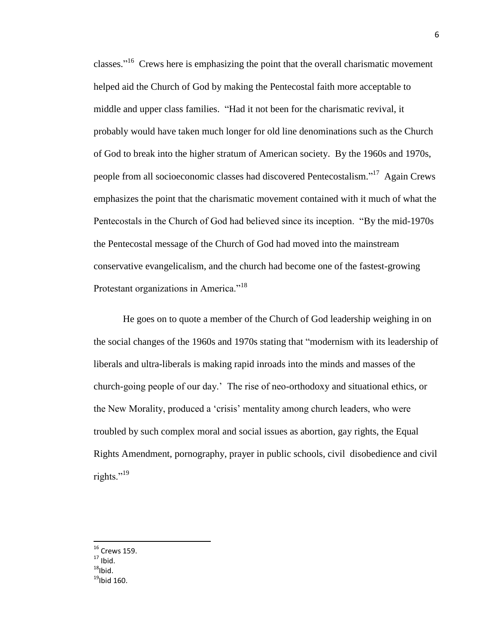classes."<sup>16</sup> Crews here is emphasizing the point that the overall charismatic movement helped aid the Church of God by making the Pentecostal faith more acceptable to middle and upper class families. "Had it not been for the charismatic revival, it probably would have taken much longer for old line denominations such as the Church of God to break into the higher stratum of American society. By the 1960s and 1970s, people from all socioeconomic classes had discovered Pentecostalism."<sup>17</sup> Again Crews emphasizes the point that the charismatic movement contained with it much of what the Pentecostals in the Church of God had believed since its inception. "By the mid-1970s" the Pentecostal message of the Church of God had moved into the mainstream conservative evangelicalism, and the church had become one of the fastest-growing Protestant organizations in America."<sup>18</sup>

He goes on to quote a member of the Church of God leadership weighing in on the social changes of the 1960s and 1970s stating that "modernism with its leadership of liberals and ultra-liberals is making rapid inroads into the minds and masses of the church-going people of our day.' The rise of neo-orthodoxy and situational ethics, or the New Morality, produced a ‗crisis' mentality among church leaders, who were troubled by such complex moral and social issues as abortion, gay rights, the Equal Rights Amendment, pornography, prayer in public schools, civil disobedience and civil rights." $^{19}$ 

 $16$  Crews 159.

 $17$  Ibid.

 $18$ Ibid.

 $19$ Ibid 160.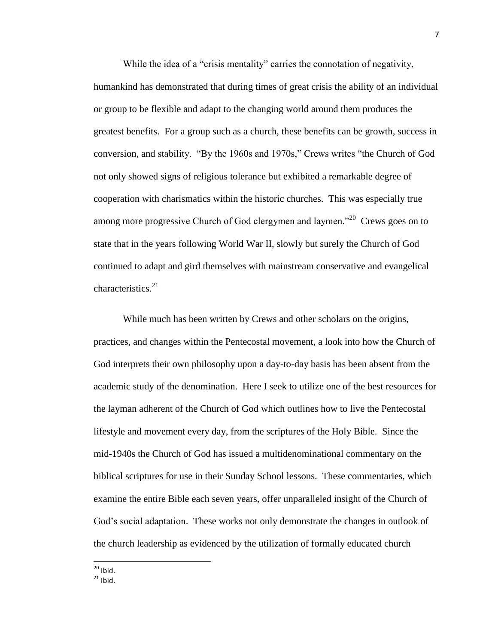While the idea of a "crisis mentality" carries the connotation of negativity, humankind has demonstrated that during times of great crisis the ability of an individual or group to be flexible and adapt to the changing world around them produces the greatest benefits. For a group such as a church, these benefits can be growth, success in conversion, and stability. "By the 1960s and 1970s," Crews writes "the Church of God not only showed signs of religious tolerance but exhibited a remarkable degree of cooperation with charismatics within the historic churches. This was especially true among more progressive Church of God clergymen and laymen."<sup>20</sup> Crews goes on to state that in the years following World War II, slowly but surely the Church of God continued to adapt and gird themselves with mainstream conservative and evangelical characteristics.<sup>21</sup>

While much has been written by Crews and other scholars on the origins, practices, and changes within the Pentecostal movement, a look into how the Church of God interprets their own philosophy upon a day-to-day basis has been absent from the academic study of the denomination. Here I seek to utilize one of the best resources for the layman adherent of the Church of God which outlines how to live the Pentecostal lifestyle and movement every day, from the scriptures of the Holy Bible. Since the mid-1940s the Church of God has issued a multidenominational commentary on the biblical scriptures for use in their Sunday School lessons. These commentaries, which examine the entire Bible each seven years, offer unparalleled insight of the Church of God's social adaptation. These works not only demonstrate the changes in outlook of the church leadership as evidenced by the utilization of formally educated church

 $^{20}$  Ibid.

l

 $21$  Ibid.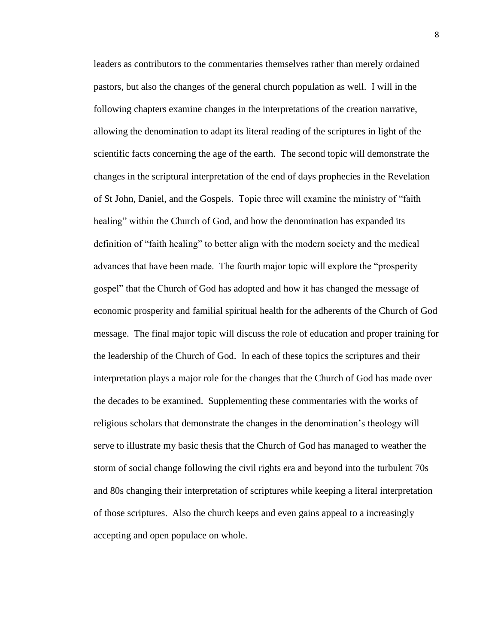leaders as contributors to the commentaries themselves rather than merely ordained pastors, but also the changes of the general church population as well. I will in the following chapters examine changes in the interpretations of the creation narrative, allowing the denomination to adapt its literal reading of the scriptures in light of the scientific facts concerning the age of the earth. The second topic will demonstrate the changes in the scriptural interpretation of the end of days prophecies in the Revelation of St John, Daniel, and the Gospels. Topic three will examine the ministry of "faith" healing" within the Church of God, and how the denomination has expanded its definition of "faith healing" to better align with the modern society and the medical advances that have been made. The fourth major topic will explore the "prosperity" gospel‖ that the Church of God has adopted and how it has changed the message of economic prosperity and familial spiritual health for the adherents of the Church of God message. The final major topic will discuss the role of education and proper training for the leadership of the Church of God. In each of these topics the scriptures and their interpretation plays a major role for the changes that the Church of God has made over the decades to be examined. Supplementing these commentaries with the works of religious scholars that demonstrate the changes in the denomination's theology will serve to illustrate my basic thesis that the Church of God has managed to weather the storm of social change following the civil rights era and beyond into the turbulent 70s and 80s changing their interpretation of scriptures while keeping a literal interpretation of those scriptures. Also the church keeps and even gains appeal to a increasingly accepting and open populace on whole.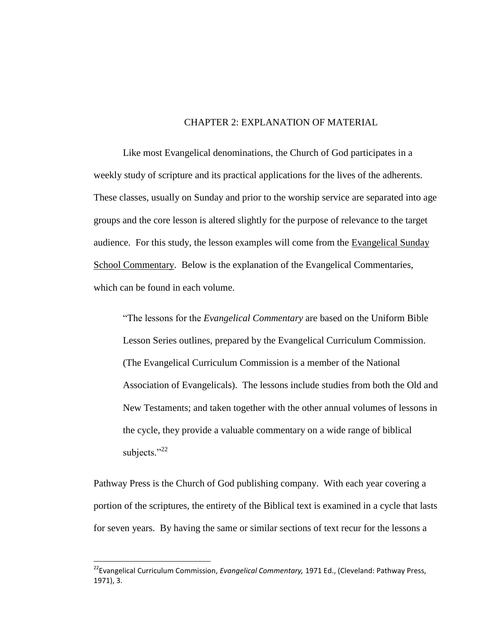# CHAPTER 2: EXPLANATION OF MATERIAL

Like most Evangelical denominations, the Church of God participates in a weekly study of scripture and its practical applications for the lives of the adherents. These classes, usually on Sunday and prior to the worship service are separated into age groups and the core lesson is altered slightly for the purpose of relevance to the target audience. For this study, the lesson examples will come from the Evangelical Sunday School Commentary. Below is the explanation of the Evangelical Commentaries, which can be found in each volume.

―The lessons for the *Evangelical Commentary* are based on the Uniform Bible Lesson Series outlines, prepared by the Evangelical Curriculum Commission. (The Evangelical Curriculum Commission is a member of the National Association of Evangelicals). The lessons include studies from both the Old and New Testaments; and taken together with the other annual volumes of lessons in the cycle, they provide a valuable commentary on a wide range of biblical subjects."<sup>22</sup>

Pathway Press is the Church of God publishing company. With each year covering a portion of the scriptures, the entirety of the Biblical text is examined in a cycle that lasts for seven years. By having the same or similar sections of text recur for the lessons a

l

<sup>22</sup>Evangelical Curriculum Commission, *Evangelical Commentary,* 1971 Ed., (Cleveland: Pathway Press, 1971), 3.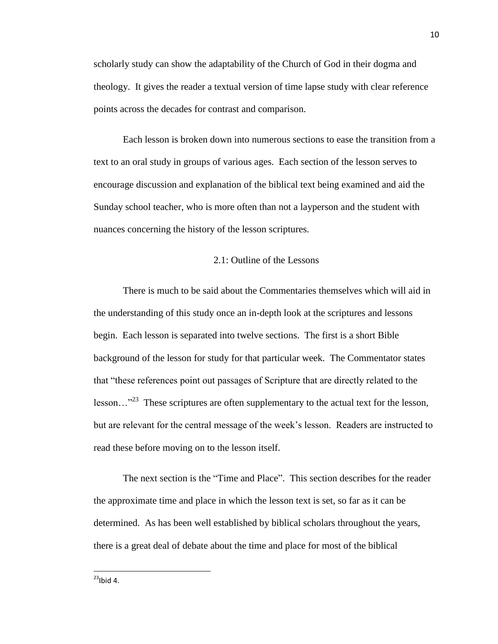scholarly study can show the adaptability of the Church of God in their dogma and theology. It gives the reader a textual version of time lapse study with clear reference points across the decades for contrast and comparison.

Each lesson is broken down into numerous sections to ease the transition from a text to an oral study in groups of various ages. Each section of the lesson serves to encourage discussion and explanation of the biblical text being examined and aid the Sunday school teacher, who is more often than not a layperson and the student with nuances concerning the history of the lesson scriptures.

# 2.1: Outline of the Lessons

There is much to be said about the Commentaries themselves which will aid in the understanding of this study once an in-depth look at the scriptures and lessons begin. Each lesson is separated into twelve sections. The first is a short Bible background of the lesson for study for that particular week. The Commentator states that ―these references point out passages of Scripture that are directly related to the lesson..."<sup>23</sup> These scriptures are often supplementary to the actual text for the lesson, but are relevant for the central message of the week's lesson. Readers are instructed to read these before moving on to the lesson itself.

The next section is the "Time and Place". This section describes for the reader the approximate time and place in which the lesson text is set, so far as it can be determined. As has been well established by biblical scholars throughout the years, there is a great deal of debate about the time and place for most of the biblical

 $^{23}$ Ibid 4.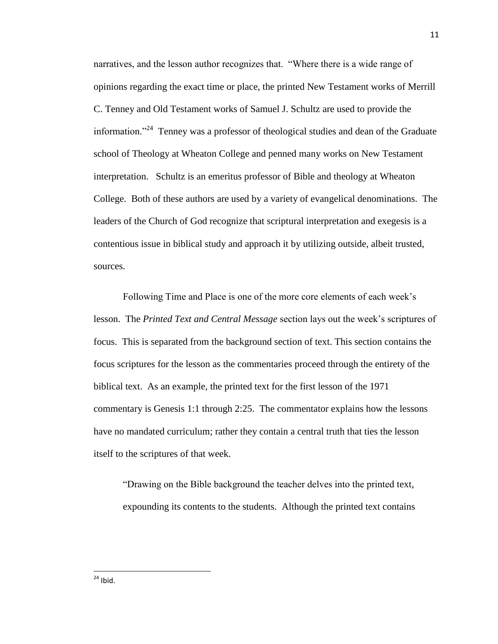narratives, and the lesson author recognizes that. "Where there is a wide range of opinions regarding the exact time or place, the printed New Testament works of Merrill C. Tenney and Old Testament works of Samuel J. Schultz are used to provide the information.<sup> $24$ </sup> Tenney was a professor of theological studies and dean of the Graduate school of Theology at Wheaton College and penned many works on New Testament interpretation. Schultz is an emeritus professor of Bible and theology at Wheaton College. Both of these authors are used by a variety of evangelical denominations. The leaders of the Church of God recognize that scriptural interpretation and exegesis is a contentious issue in biblical study and approach it by utilizing outside, albeit trusted, sources.

Following Time and Place is one of the more core elements of each week's lesson. The *Printed Text and Central Message* section lays out the week's scriptures of focus. This is separated from the background section of text. This section contains the focus scriptures for the lesson as the commentaries proceed through the entirety of the biblical text. As an example, the printed text for the first lesson of the 1971 commentary is Genesis 1:1 through 2:25. The commentator explains how the lessons have no mandated curriculum; rather they contain a central truth that ties the lesson itself to the scriptures of that week.

―Drawing on the Bible background the teacher delves into the printed text, expounding its contents to the students. Although the printed text contains

 $^{24}$  Ibid.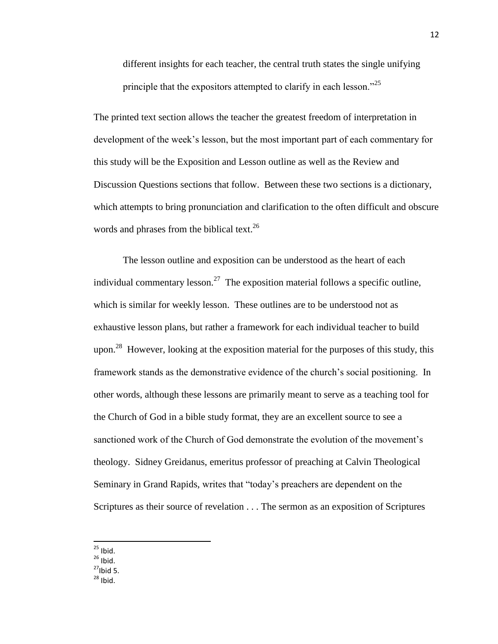different insights for each teacher, the central truth states the single unifying principle that the expositors attempted to clarify in each lesson. $^{25}$ 

The printed text section allows the teacher the greatest freedom of interpretation in development of the week's lesson, but the most important part of each commentary for this study will be the Exposition and Lesson outline as well as the Review and Discussion Questions sections that follow. Between these two sections is a dictionary, which attempts to bring pronunciation and clarification to the often difficult and obscure words and phrases from the biblical text.<sup>26</sup>

The lesson outline and exposition can be understood as the heart of each individual commentary lesson.<sup>27</sup> The exposition material follows a specific outline, which is similar for weekly lesson. These outlines are to be understood not as exhaustive lesson plans, but rather a framework for each individual teacher to build upon.<sup>28</sup> However, looking at the exposition material for the purposes of this study, this framework stands as the demonstrative evidence of the church's social positioning. In other words, although these lessons are primarily meant to serve as a teaching tool for the Church of God in a bible study format, they are an excellent source to see a sanctioned work of the Church of God demonstrate the evolution of the movement's theology. Sidney Greidanus, emeritus professor of preaching at Calvin Theological Seminary in Grand Rapids, writes that "today's preachers are dependent on the Scriptures as their source of revelation . . . The sermon as an exposition of Scriptures

 $^{25}$  Ibid.

 $26$  Ibid.

 $27$ Ibid 5.

 $28$  Ibid.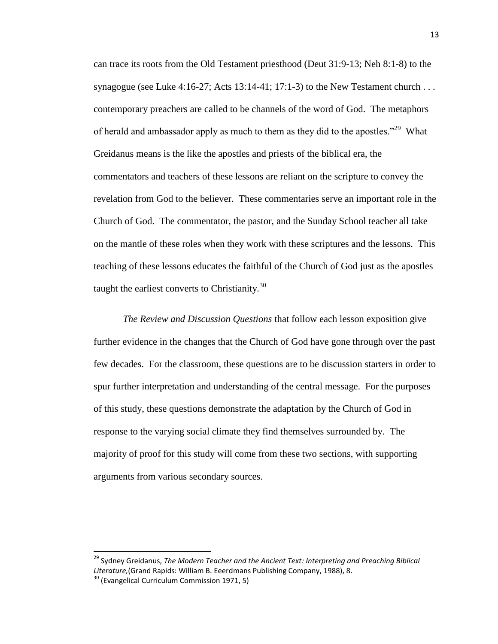can trace its roots from the Old Testament priesthood (Deut 31:9-13; Neh 8:1-8) to the synagogue (see Luke 4:16-27; Acts 13:14-41; 17:1-3) to the New Testament church . . . contemporary preachers are called to be channels of the word of God. The metaphors of herald and ambassador apply as much to them as they did to the apostles.<sup> $29$ </sup> What Greidanus means is the like the apostles and priests of the biblical era, the commentators and teachers of these lessons are reliant on the scripture to convey the revelation from God to the believer. These commentaries serve an important role in the Church of God. The commentator, the pastor, and the Sunday School teacher all take on the mantle of these roles when they work with these scriptures and the lessons. This teaching of these lessons educates the faithful of the Church of God just as the apostles taught the earliest converts to Christianity.<sup>30</sup>

*The Review and Discussion Questions* that follow each lesson exposition give further evidence in the changes that the Church of God have gone through over the past few decades. For the classroom, these questions are to be discussion starters in order to spur further interpretation and understanding of the central message. For the purposes of this study, these questions demonstrate the adaptation by the Church of God in response to the varying social climate they find themselves surrounded by. The majority of proof for this study will come from these two sections, with supporting arguments from various secondary sources.

<sup>&</sup>lt;sup>29</sup> Sydney Greidanus, *The Modern Teacher and the Ancient Text: Interpreting and Preaching Biblical Literature,*(Grand Rapids: William B. Eeerdmans Publishing Company, 1988), 8.

 $30$  (Evangelical Curriculum Commission 1971, 5)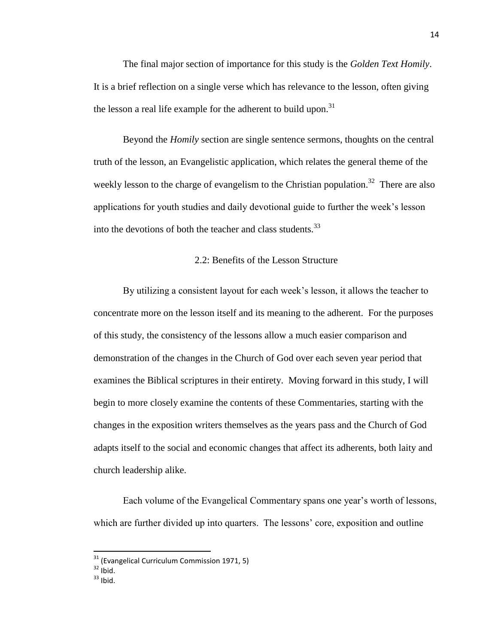The final major section of importance for this study is the *Golden Text Homily*. It is a brief reflection on a single verse which has relevance to the lesson, often giving the lesson a real life example for the adherent to build upon. $31$ 

Beyond the *Homily* section are single sentence sermons, thoughts on the central truth of the lesson, an Evangelistic application, which relates the general theme of the weekly lesson to the charge of evangelism to the Christian population.<sup>32</sup> There are also applications for youth studies and daily devotional guide to further the week's lesson into the devotions of both the teacher and class students.<sup>33</sup>

# 2.2: Benefits of the Lesson Structure

By utilizing a consistent layout for each week's lesson, it allows the teacher to concentrate more on the lesson itself and its meaning to the adherent. For the purposes of this study, the consistency of the lessons allow a much easier comparison and demonstration of the changes in the Church of God over each seven year period that examines the Biblical scriptures in their entirety. Moving forward in this study, I will begin to more closely examine the contents of these Commentaries, starting with the changes in the exposition writers themselves as the years pass and the Church of God adapts itself to the social and economic changes that affect its adherents, both laity and church leadership alike.

Each volume of the Evangelical Commentary spans one year's worth of lessons, which are further divided up into quarters. The lessons' core, exposition and outline

 $31$  (Evangelical Curriculum Commission 1971, 5)

 $32$  Ibid.

 $33$  Ibid.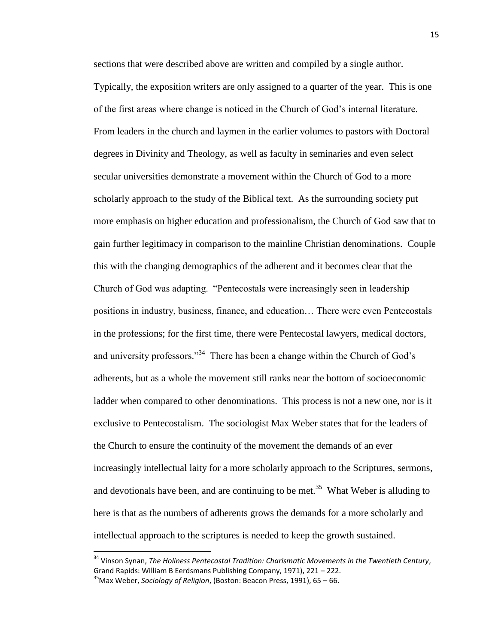sections that were described above are written and compiled by a single author. Typically, the exposition writers are only assigned to a quarter of the year. This is one of the first areas where change is noticed in the Church of God's internal literature. From leaders in the church and laymen in the earlier volumes to pastors with Doctoral degrees in Divinity and Theology, as well as faculty in seminaries and even select secular universities demonstrate a movement within the Church of God to a more scholarly approach to the study of the Biblical text. As the surrounding society put more emphasis on higher education and professionalism, the Church of God saw that to gain further legitimacy in comparison to the mainline Christian denominations. Couple this with the changing demographics of the adherent and it becomes clear that the Church of God was adapting. "Pentecostals were increasingly seen in leadership positions in industry, business, finance, and education… There were even Pentecostals in the professions; for the first time, there were Pentecostal lawyers, medical doctors, and university professors."<sup>34</sup> There has been a change within the Church of God's adherents, but as a whole the movement still ranks near the bottom of socioeconomic ladder when compared to other denominations. This process is not a new one, nor is it exclusive to Pentecostalism. The sociologist Max Weber states that for the leaders of the Church to ensure the continuity of the movement the demands of an ever increasingly intellectual laity for a more scholarly approach to the Scriptures, sermons, and devotionals have been, and are continuing to be met.<sup>35</sup> What Weber is alluding to here is that as the numbers of adherents grows the demands for a more scholarly and intellectual approach to the scriptures is needed to keep the growth sustained.

<sup>34</sup> Vinson Synan, *The Holiness Pentecostal Tradition: Charismatic Movements in the Twentieth Century*, Grand Rapids: William B Eerdsmans Publishing Company, 1971), 221 – 222.

<sup>35</sup>Max Weber, *Sociology of Religion*, (Boston: Beacon Press, 1991), 65 – 66.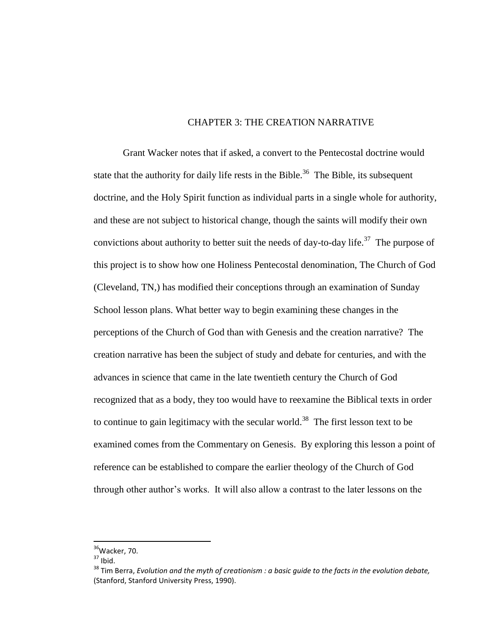# CHAPTER 3: THE CREATION NARRATIVE

Grant Wacker notes that if asked, a convert to the Pentecostal doctrine would state that the authority for daily life rests in the Bible.<sup>36</sup> The Bible, its subsequent doctrine, and the Holy Spirit function as individual parts in a single whole for authority, and these are not subject to historical change, though the saints will modify their own convictions about authority to better suit the needs of day-to-day life.<sup>37</sup> The purpose of this project is to show how one Holiness Pentecostal denomination, The Church of God (Cleveland, TN,) has modified their conceptions through an examination of Sunday School lesson plans. What better way to begin examining these changes in the perceptions of the Church of God than with Genesis and the creation narrative? The creation narrative has been the subject of study and debate for centuries, and with the advances in science that came in the late twentieth century the Church of God recognized that as a body, they too would have to reexamine the Biblical texts in order to continue to gain legitimacy with the secular world.<sup>38</sup> The first lesson text to be examined comes from the Commentary on Genesis. By exploring this lesson a point of reference can be established to compare the earlier theology of the Church of God through other author's works. It will also allow a contrast to the later lessons on the

<sup>&</sup>lt;sup>36</sup>Wacker, 70.

 $37$  Ibid.

<sup>38</sup> Tim Berra, *Evolution and the myth of creationism : a basic guide to the facts in the evolution debate,*  (Stanford, Stanford University Press, 1990).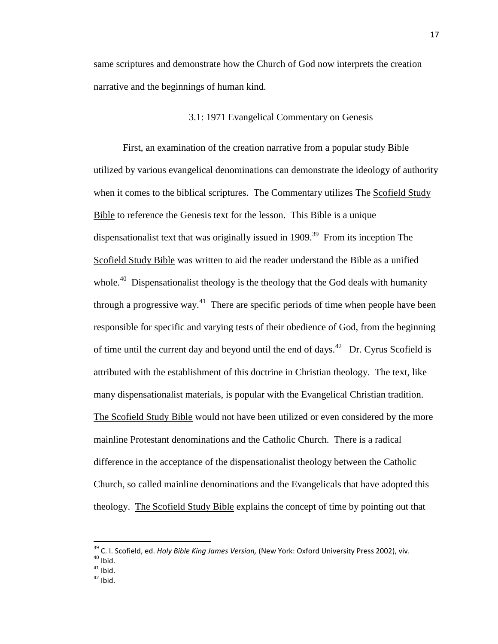same scriptures and demonstrate how the Church of God now interprets the creation narrative and the beginnings of human kind.

# 3.1: 1971 Evangelical Commentary on Genesis

First, an examination of the creation narrative from a popular study Bible utilized by various evangelical denominations can demonstrate the ideology of authority when it comes to the biblical scriptures. The Commentary utilizes The Scofield Study Bible to reference the Genesis text for the lesson. This Bible is a unique dispensationalist text that was originally issued in 1909.<sup>39</sup> From its inception The Scofield Study Bible was written to aid the reader understand the Bible as a unified whole.<sup>40</sup> Dispensationalist theology is the theology that the God deals with humanity through a progressive way.<sup>41</sup> There are specific periods of time when people have been responsible for specific and varying tests of their obedience of God, from the beginning of time until the current day and beyond until the end of days.<sup>42</sup> Dr. Cyrus Scofield is attributed with the establishment of this doctrine in Christian theology. The text, like many dispensationalist materials, is popular with the Evangelical Christian tradition. The Scofield Study Bible would not have been utilized or even considered by the more mainline Protestant denominations and the Catholic Church. There is a radical difference in the acceptance of the dispensationalist theology between the Catholic Church, so called mainline denominations and the Evangelicals that have adopted this theology. The Scofield Study Bible explains the concept of time by pointing out that

<sup>&</sup>lt;sup>39</sup> C. I. Scofield, ed. *Holy Bible King James Version,* (New York: Oxford University Press 2002), viv.  $40$  Ibid.

 $41$  Ibid.

 $42$  Ibid.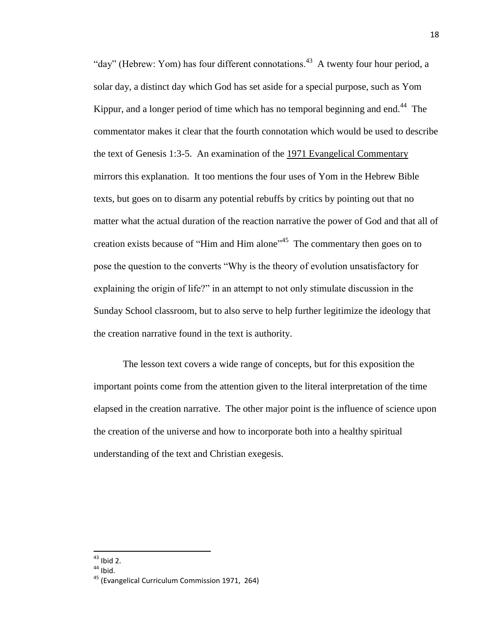"day" (Hebrew: Yom) has four different connotations.<sup>43</sup> A twenty four hour period, a solar day, a distinct day which God has set aside for a special purpose, such as Yom Kippur, and a longer period of time which has no temporal beginning and end.<sup>44</sup> The commentator makes it clear that the fourth connotation which would be used to describe the text of Genesis 1:3-5. An examination of the 1971 Evangelical Commentary mirrors this explanation. It too mentions the four uses of Yom in the Hebrew Bible texts, but goes on to disarm any potential rebuffs by critics by pointing out that no matter what the actual duration of the reaction narrative the power of God and that all of creation exists because of "Him and Him alone"<sup>45</sup> The commentary then goes on to pose the question to the converts "Why is the theory of evolution unsatisfactory for explaining the origin of life?" in an attempt to not only stimulate discussion in the Sunday School classroom, but to also serve to help further legitimize the ideology that the creation narrative found in the text is authority.

The lesson text covers a wide range of concepts, but for this exposition the important points come from the attention given to the literal interpretation of the time elapsed in the creation narrative. The other major point is the influence of science upon the creation of the universe and how to incorporate both into a healthy spiritual understanding of the text and Christian exegesis.

 $43$  Ibid 2.

 $44$  Ibid.

<sup>&</sup>lt;sup>45</sup> (Evangelical Curriculum Commission 1971, 264)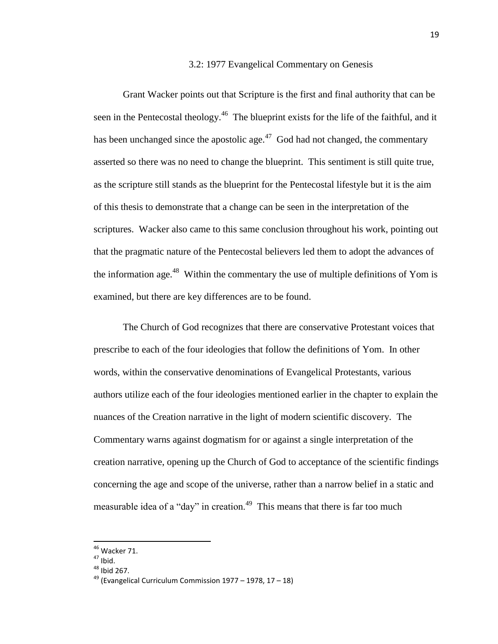#### 3.2: 1977 Evangelical Commentary on Genesis

Grant Wacker points out that Scripture is the first and final authority that can be seen in the Pentecostal theology.<sup>46</sup> The blueprint exists for the life of the faithful, and it has been unchanged since the apostolic age. $47$  God had not changed, the commentary asserted so there was no need to change the blueprint. This sentiment is still quite true, as the scripture still stands as the blueprint for the Pentecostal lifestyle but it is the aim of this thesis to demonstrate that a change can be seen in the interpretation of the scriptures. Wacker also came to this same conclusion throughout his work, pointing out that the pragmatic nature of the Pentecostal believers led them to adopt the advances of the information age. $48$  Within the commentary the use of multiple definitions of Yom is examined, but there are key differences are to be found.

The Church of God recognizes that there are conservative Protestant voices that prescribe to each of the four ideologies that follow the definitions of Yom. In other words, within the conservative denominations of Evangelical Protestants, various authors utilize each of the four ideologies mentioned earlier in the chapter to explain the nuances of the Creation narrative in the light of modern scientific discovery. The Commentary warns against dogmatism for or against a single interpretation of the creation narrative, opening up the Church of God to acceptance of the scientific findings concerning the age and scope of the universe, rather than a narrow belief in a static and measurable idea of a "day" in creation.<sup>49</sup> This means that there is far too much

 $46$  Wacker 71.

 $47$  Ibid.

 $48$  Ibid 267.

<sup>&</sup>lt;sup>49</sup> (Evangelical Curriculum Commission 1977 – 1978, 17 – 18)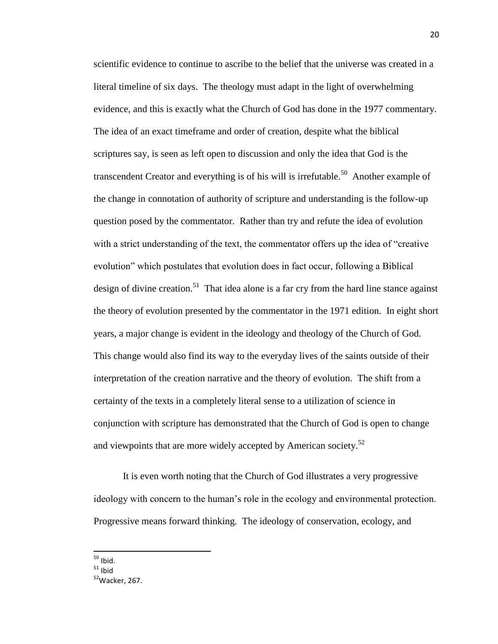scientific evidence to continue to ascribe to the belief that the universe was created in a literal timeline of six days. The theology must adapt in the light of overwhelming evidence, and this is exactly what the Church of God has done in the 1977 commentary. The idea of an exact timeframe and order of creation, despite what the biblical scriptures say, is seen as left open to discussion and only the idea that God is the transcendent Creator and everything is of his will is irrefutable.<sup>50</sup> Another example of the change in connotation of authority of scripture and understanding is the follow-up question posed by the commentator. Rather than try and refute the idea of evolution with a strict understanding of the text, the commentator offers up the idea of "creative" evolution" which postulates that evolution does in fact occur, following a Biblical design of divine creation.<sup>51</sup> That idea alone is a far cry from the hard line stance against the theory of evolution presented by the commentator in the 1971 edition. In eight short years, a major change is evident in the ideology and theology of the Church of God. This change would also find its way to the everyday lives of the saints outside of their interpretation of the creation narrative and the theory of evolution. The shift from a certainty of the texts in a completely literal sense to a utilization of science in conjunction with scripture has demonstrated that the Church of God is open to change and viewpoints that are more widely accepted by American society.<sup>52</sup>

It is even worth noting that the Church of God illustrates a very progressive ideology with concern to the human's role in the ecology and environmental protection. Progressive means forward thinking. The ideology of conservation, ecology, and

 $50$  Ibid.

 $51$  Ihid

 $52$ Wacker, 267.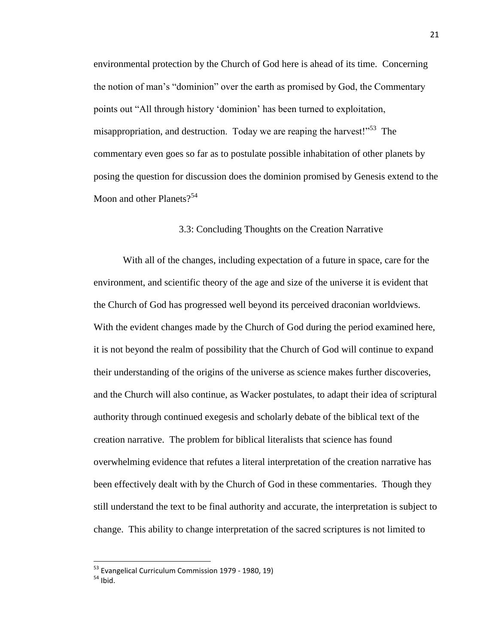environmental protection by the Church of God here is ahead of its time. Concerning the notion of man's "dominion" over the earth as promised by God, the Commentary points out "All through history 'dominion' has been turned to exploitation, misappropriation, and destruction. Today we are reaping the harvest!"<sup>53</sup> The commentary even goes so far as to postulate possible inhabitation of other planets by posing the question for discussion does the dominion promised by Genesis extend to the Moon and other Planets $2^{54}$ 

# 3.3: Concluding Thoughts on the Creation Narrative

With all of the changes, including expectation of a future in space, care for the environment, and scientific theory of the age and size of the universe it is evident that the Church of God has progressed well beyond its perceived draconian worldviews. With the evident changes made by the Church of God during the period examined here, it is not beyond the realm of possibility that the Church of God will continue to expand their understanding of the origins of the universe as science makes further discoveries, and the Church will also continue, as Wacker postulates, to adapt their idea of scriptural authority through continued exegesis and scholarly debate of the biblical text of the creation narrative. The problem for biblical literalists that science has found overwhelming evidence that refutes a literal interpretation of the creation narrative has been effectively dealt with by the Church of God in these commentaries. Though they still understand the text to be final authority and accurate, the interpretation is subject to change. This ability to change interpretation of the sacred scriptures is not limited to

l

<sup>53</sup> Evangelical Curriculum Commission 1979 - 1980, 19)

 $54$  Ibid.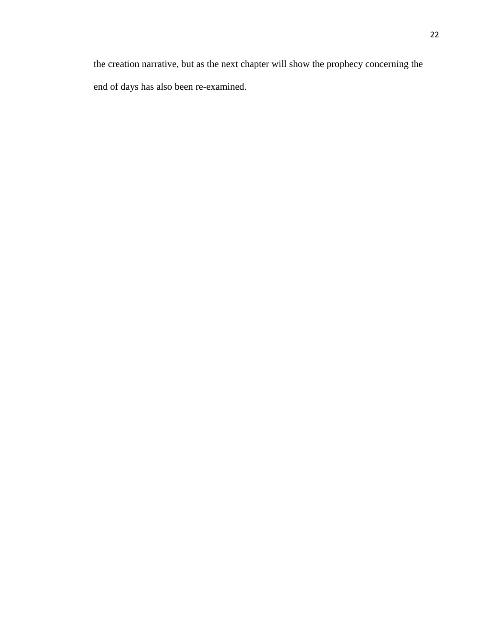the creation narrative, but as the next chapter will show the prophecy concerning the end of days has also been re-examined.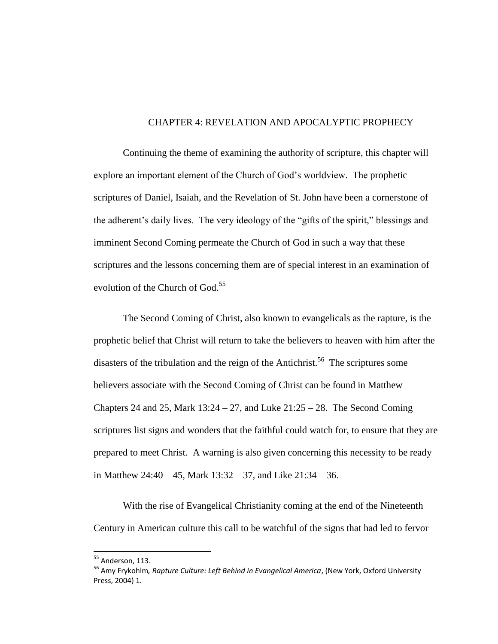### CHAPTER 4: REVELATION AND APOCALYPTIC PROPHECY

Continuing the theme of examining the authority of scripture, this chapter will explore an important element of the Church of God's worldview. The prophetic scriptures of Daniel, Isaiah, and the Revelation of St. John have been a cornerstone of the adherent's daily lives. The very ideology of the "gifts of the spirit," blessings and imminent Second Coming permeate the Church of God in such a way that these scriptures and the lessons concerning them are of special interest in an examination of evolution of the Church of God.<sup>55</sup>

The Second Coming of Christ, also known to evangelicals as the rapture, is the prophetic belief that Christ will return to take the believers to heaven with him after the disasters of the tribulation and the reign of the Antichrist.<sup>56</sup> The scriptures some believers associate with the Second Coming of Christ can be found in Matthew Chapters 24 and 25, Mark  $13:24 - 27$ , and Luke  $21:25 - 28$ . The Second Coming scriptures list signs and wonders that the faithful could watch for, to ensure that they are prepared to meet Christ. A warning is also given concerning this necessity to be ready in Matthew 24:40 – 45, Mark 13:32 – 37, and Like 21:34 – 36.

With the rise of Evangelical Christianity coming at the end of the Nineteenth Century in American culture this call to be watchful of the signs that had led to fervor

<sup>&</sup>lt;sup>55</sup> Anderson, 113.

<sup>56</sup> Amy Frykohlm*, Rapture Culture: Left Behind in Evangelical America*, (New York, Oxford University Press, 2004) 1.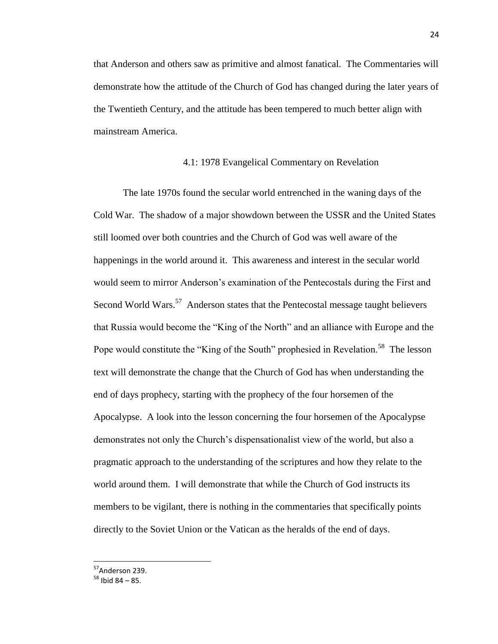that Anderson and others saw as primitive and almost fanatical. The Commentaries will demonstrate how the attitude of the Church of God has changed during the later years of the Twentieth Century, and the attitude has been tempered to much better align with mainstream America.

### 4.1: 1978 Evangelical Commentary on Revelation

The late 1970s found the secular world entrenched in the waning days of the Cold War. The shadow of a major showdown between the USSR and the United States still loomed over both countries and the Church of God was well aware of the happenings in the world around it. This awareness and interest in the secular world would seem to mirror Anderson's examination of the Pentecostals during the First and Second World Wars.<sup>57</sup> Anderson states that the Pentecostal message taught believers that Russia would become the "King of the North" and an alliance with Europe and the Pope would constitute the "King of the South" prophesied in Revelation.<sup>58</sup> The lesson text will demonstrate the change that the Church of God has when understanding the end of days prophecy, starting with the prophecy of the four horsemen of the Apocalypse. A look into the lesson concerning the four horsemen of the Apocalypse demonstrates not only the Church's dispensationalist view of the world, but also a pragmatic approach to the understanding of the scriptures and how they relate to the world around them. I will demonstrate that while the Church of God instructs its members to be vigilant, there is nothing in the commentaries that specifically points directly to the Soviet Union or the Vatican as the heralds of the end of days.

l

<sup>57</sup>Anderson 239.

 $58$  Ibid 84 – 85.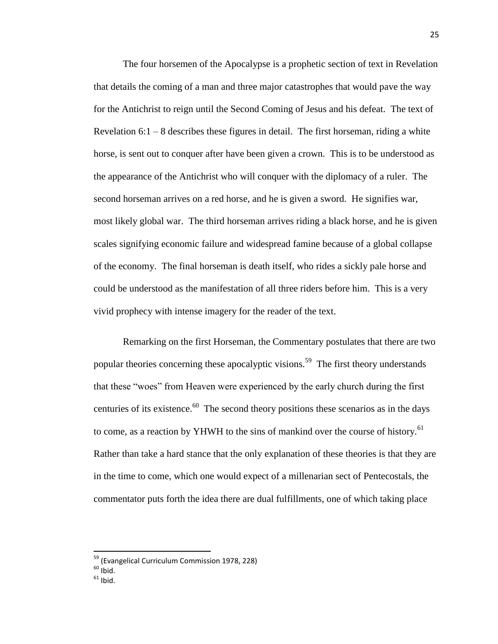The four horsemen of the Apocalypse is a prophetic section of text in Revelation that details the coming of a man and three major catastrophes that would pave the way for the Antichrist to reign until the Second Coming of Jesus and his defeat. The text of Revelation  $6:1 - 8$  describes these figures in detail. The first horseman, riding a white horse, is sent out to conquer after have been given a crown. This is to be understood as the appearance of the Antichrist who will conquer with the diplomacy of a ruler. The second horseman arrives on a red horse, and he is given a sword. He signifies war, most likely global war. The third horseman arrives riding a black horse, and he is given scales signifying economic failure and widespread famine because of a global collapse of the economy. The final horseman is death itself, who rides a sickly pale horse and could be understood as the manifestation of all three riders before him. This is a very vivid prophecy with intense imagery for the reader of the text.

Remarking on the first Horseman, the Commentary postulates that there are two popular theories concerning these apocalyptic visions.<sup>59</sup> The first theory understands that these "woes" from Heaven were experienced by the early church during the first centuries of its existence. $^{60}$  The second theory positions these scenarios as in the days to come, as a reaction by YHWH to the sins of mankind over the course of history.<sup>61</sup> Rather than take a hard stance that the only explanation of these theories is that they are in the time to come, which one would expect of a millenarian sect of Pentecostals, the commentator puts forth the idea there are dual fulfillments, one of which taking place

<sup>&</sup>lt;sup>59</sup> (Evangelical Curriculum Commission 1978, 228)

 $^{60}$  Ibid.

 $61$  Ibid.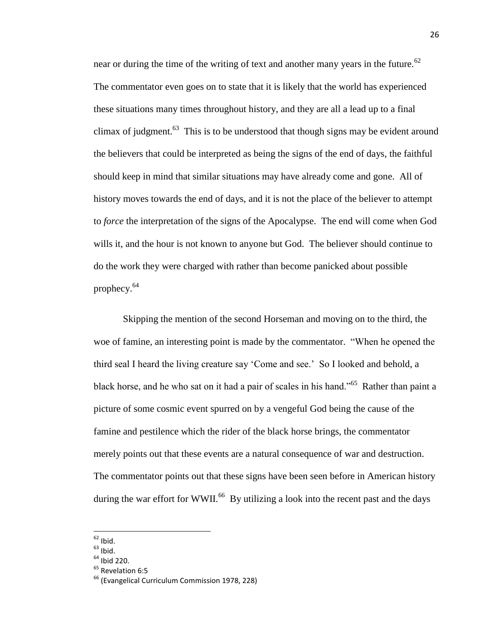near or during the time of the writing of text and another many years in the future.<sup>62</sup> The commentator even goes on to state that it is likely that the world has experienced these situations many times throughout history, and they are all a lead up to a final climax of judgment.<sup>63</sup> This is to be understood that though signs may be evident around the believers that could be interpreted as being the signs of the end of days, the faithful should keep in mind that similar situations may have already come and gone. All of history moves towards the end of days, and it is not the place of the believer to attempt to *force* the interpretation of the signs of the Apocalypse. The end will come when God wills it, and the hour is not known to anyone but God. The believer should continue to do the work they were charged with rather than become panicked about possible prophecy.<sup>64</sup>

Skipping the mention of the second Horseman and moving on to the third, the woe of famine, an interesting point is made by the commentator. "When he opened the third seal I heard the living creature say 'Come and see.' So I looked and behold, a black horse, and he who sat on it had a pair of scales in his hand."<sup>65</sup> Rather than paint a picture of some cosmic event spurred on by a vengeful God being the cause of the famine and pestilence which the rider of the black horse brings, the commentator merely points out that these events are a natural consequence of war and destruction. The commentator points out that these signs have been seen before in American history during the war effort for WWII.<sup>66</sup> By utilizing a look into the recent past and the days

l

 $62$  Ibid.

 $63$  Ibid.

 $64$  Ibid 220.

<sup>&</sup>lt;sup>65</sup> Revelation 6:5

<sup>&</sup>lt;sup>66</sup> (Evangelical Curriculum Commission 1978, 228)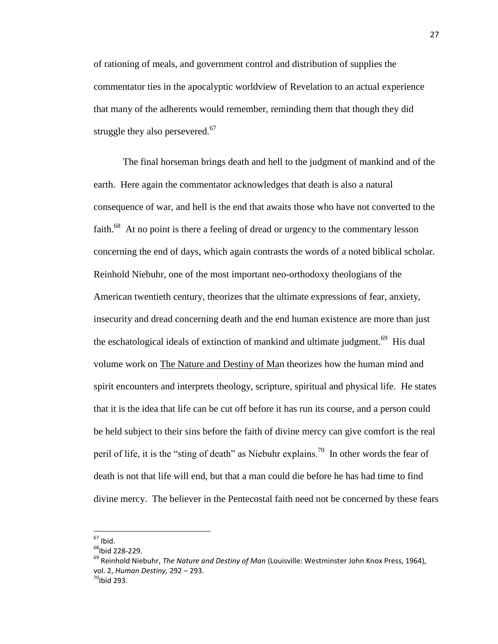of rationing of meals, and government control and distribution of supplies the commentator ties in the apocalyptic worldview of Revelation to an actual experience that many of the adherents would remember, reminding them that though they did struggle they also persevered. $67$ 

The final horseman brings death and hell to the judgment of mankind and of the earth. Here again the commentator acknowledges that death is also a natural consequence of war, and hell is the end that awaits those who have not converted to the faith.<sup>68</sup> At no point is there a feeling of dread or urgency to the commentary lesson concerning the end of days, which again contrasts the words of a noted biblical scholar. Reinhold Niebuhr, one of the most important neo-orthodoxy theologians of the American twentieth century, theorizes that the ultimate expressions of fear, anxiety, insecurity and dread concerning death and the end human existence are more than just the eschatological ideals of extinction of mankind and ultimate judgment.<sup>69</sup> His dual volume work on The Nature and Destiny of Man theorizes how the human mind and spirit encounters and interprets theology, scripture, spiritual and physical life. He states that it is the idea that life can be cut off before it has run its course, and a person could be held subject to their sins before the faith of divine mercy can give comfort is the real peril of life, it is the "sting of death" as Niebuhr explains.<sup>70</sup> In other words the fear of death is not that life will end, but that a man could die before he has had time to find divine mercy. The believer in the Pentecostal faith need not be concerned by these fears

l

 $67$  Ibid.

<sup>&</sup>lt;sup>68</sup>Ibid 228-229.

<sup>69</sup> Reinhold Niebuhr, *The Nature and Destiny of Man* (Louisville: Westminster John Knox Press, 1964), vol. 2, *Human Destiny,* 292 – 293.

 $70$ Ibid 293.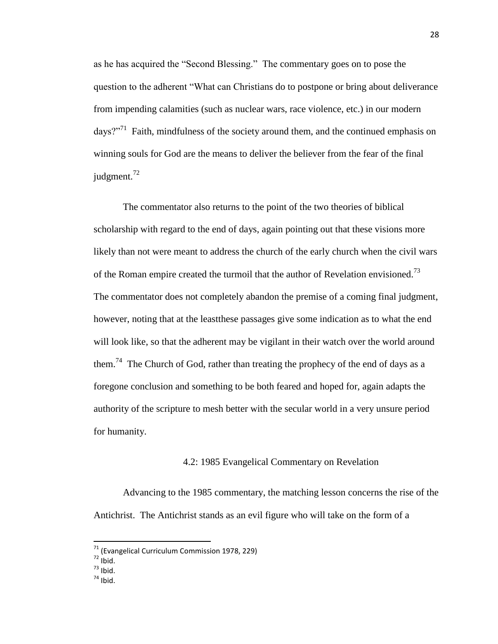as he has acquired the "Second Blessing." The commentary goes on to pose the question to the adherent "What can Christians do to postpone or bring about deliverance from impending calamities (such as nuclear wars, race violence, etc.) in our modern days?"<sup>71</sup> Faith, mindfulness of the society around them, and the continued emphasis on winning souls for God are the means to deliver the believer from the fear of the final judgment.<sup>72</sup>

The commentator also returns to the point of the two theories of biblical scholarship with regard to the end of days, again pointing out that these visions more likely than not were meant to address the church of the early church when the civil wars of the Roman empire created the turmoil that the author of Revelation envisioned.<sup>73</sup> The commentator does not completely abandon the premise of a coming final judgment, however, noting that at the leastthese passages give some indication as to what the end will look like, so that the adherent may be vigilant in their watch over the world around them.<sup>74</sup> The Church of God, rather than treating the prophecy of the end of days as a foregone conclusion and something to be both feared and hoped for, again adapts the authority of the scripture to mesh better with the secular world in a very unsure period for humanity.

#### 4.2: 1985 Evangelical Commentary on Revelation

Advancing to the 1985 commentary, the matching lesson concerns the rise of the Antichrist. The Antichrist stands as an evil figure who will take on the form of a

<sup>&</sup>lt;sup>71</sup> (Evangelical Curriculum Commission 1978, 229)

 $72$  Ibid.

 $73$  Ibid.

 $74$  Ibid.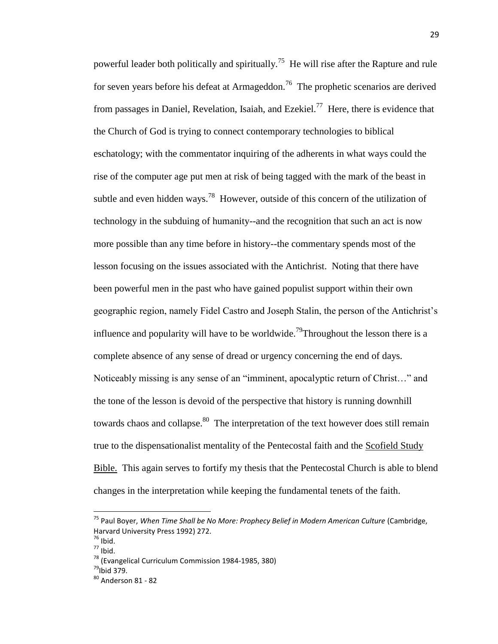powerful leader both politically and spiritually.<sup>75</sup> He will rise after the Rapture and rule for seven years before his defeat at Armageddon.<sup>76</sup> The prophetic scenarios are derived from passages in Daniel, Revelation, Isaiah, and Ezekiel.<sup>77</sup> Here, there is evidence that the Church of God is trying to connect contemporary technologies to biblical eschatology; with the commentator inquiring of the adherents in what ways could the rise of the computer age put men at risk of being tagged with the mark of the beast in subtle and even hidden ways.<sup>78</sup> However, outside of this concern of the utilization of technology in the subduing of humanity--and the recognition that such an act is now more possible than any time before in history--the commentary spends most of the lesson focusing on the issues associated with the Antichrist. Noting that there have been powerful men in the past who have gained populist support within their own geographic region, namely Fidel Castro and Joseph Stalin, the person of the Antichrist's influence and popularity will have to be worldwide.<sup>79</sup>Throughout the lesson there is a complete absence of any sense of dread or urgency concerning the end of days. Noticeably missing is any sense of an "imminent, apocalyptic return of Christ..." and the tone of the lesson is devoid of the perspective that history is running downhill towards chaos and collapse.<sup>80</sup> The interpretation of the text however does still remain true to the dispensationalist mentality of the Pentecostal faith and the Scofield Study Bible. This again serves to fortify my thesis that the Pentecostal Church is able to blend changes in the interpretation while keeping the fundamental tenets of the faith.

<sup>&</sup>lt;sup>75</sup> Paul Boyer, *When Time Shall be No More: Prophecy Belief in Modern American Culture (Cambridge,* Harvard University Press 1992) 272.

 $76$  Ibid.

 $77$  Ibid.

<sup>78</sup> (Evangelical Curriculum Commission 1984-1985, 380)

 $^{79}$ lhid 379

<sup>80</sup> Anderson 81 - 82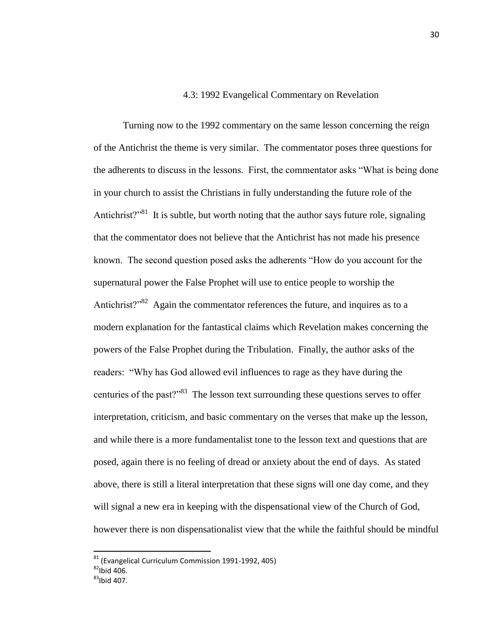#### 4.3: 1992 Evangelical Commentary on Revelation

Turning now to the 1992 commentary on the same lesson concerning the reign of the Antichrist the theme is very similar. The commentator poses three questions for the adherents to discuss in the lessons. First, the commentator asks "What is being done" in your church to assist the Christians in fully understanding the future role of the Antichrist?"<sup>81</sup> It is subtle, but worth noting that the author says future role, signaling that the commentator does not believe that the Antichrist has not made his presence known. The second question posed asks the adherents "How do you account for the supernatural power the False Prophet will use to entice people to worship the Antichrist?" $82$  Again the commentator references the future, and inquires as to a modern explanation for the fantastical claims which Revelation makes concerning the powers of the False Prophet during the Tribulation. Finally, the author asks of the readers: "Why has God allowed evil influences to rage as they have during the centuries of the past? $1.83}$  The lesson text surrounding these questions serves to offer interpretation, criticism, and basic commentary on the verses that make up the lesson, and while there is a more fundamentalist tone to the lesson text and questions that are posed, again there is no feeling of dread or anxiety about the end of days. As stated above, there is still a literal interpretation that these signs will one day come, and they will signal a new era in keeping with the dispensational view of the Church of God, however there is non dispensationalist view that the while the faithful should be mindful

 $81$  (Evangelical Curriculum Commission 1991-1992, 405)

 $^{82}$ Ibid 406.

 $83$ Ibid 407.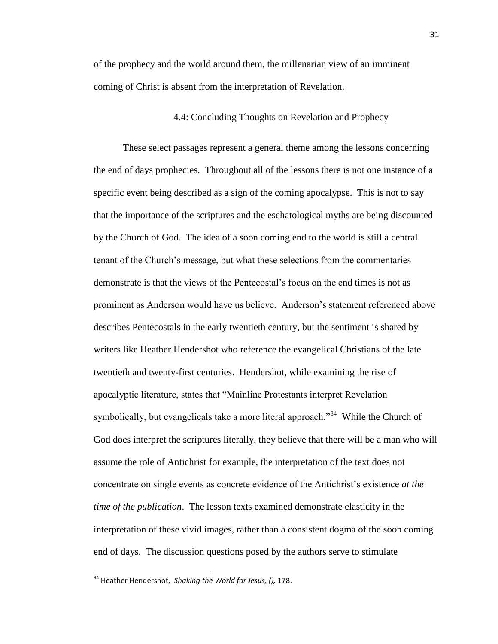of the prophecy and the world around them, the millenarian view of an imminent coming of Christ is absent from the interpretation of Revelation.

# 4.4: Concluding Thoughts on Revelation and Prophecy

These select passages represent a general theme among the lessons concerning the end of days prophecies. Throughout all of the lessons there is not one instance of a specific event being described as a sign of the coming apocalypse. This is not to say that the importance of the scriptures and the eschatological myths are being discounted by the Church of God. The idea of a soon coming end to the world is still a central tenant of the Church's message, but what these selections from the commentaries demonstrate is that the views of the Pentecostal's focus on the end times is not as prominent as Anderson would have us believe. Anderson's statement referenced above describes Pentecostals in the early twentieth century, but the sentiment is shared by writers like Heather Hendershot who reference the evangelical Christians of the late twentieth and twenty-first centuries. Hendershot, while examining the rise of apocalyptic literature, states that "Mainline Protestants interpret Revelation symbolically, but evangelicals take a more literal approach."<sup>84</sup> While the Church of God does interpret the scriptures literally, they believe that there will be a man who will assume the role of Antichrist for example, the interpretation of the text does not concentrate on single events as concrete evidence of the Antichrist's existence *at the time of the publication*. The lesson texts examined demonstrate elasticity in the interpretation of these vivid images, rather than a consistent dogma of the soon coming end of days. The discussion questions posed by the authors serve to stimulate

<sup>84</sup> Heather Hendershot, *Shaking the World for Jesus, (),* 178.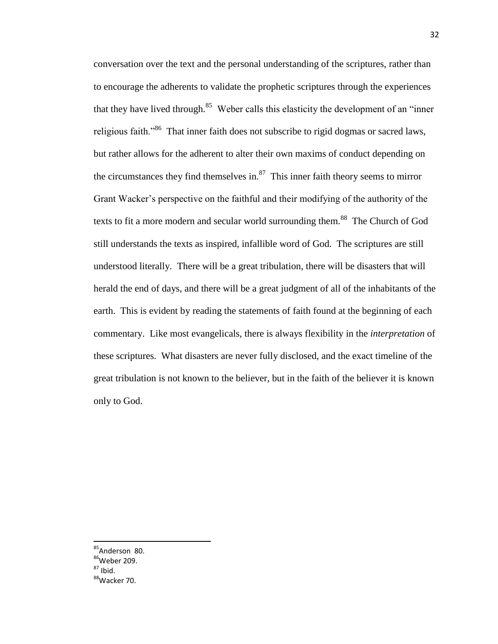conversation over the text and the personal understanding of the scriptures, rather than to encourage the adherents to validate the prophetic scriptures through the experiences that they have lived through.<sup>85</sup> Weber calls this elasticity the development of an "inner" religious faith.<sup>366</sup> That inner faith does not subscribe to rigid dogmas or sacred laws, but rather allows for the adherent to alter their own maxims of conduct depending on the circumstances they find themselves in. $87$  This inner faith theory seems to mirror Grant Wacker's perspective on the faithful and their modifying of the authority of the texts to fit a more modern and secular world surrounding them.<sup>88</sup> The Church of God still understands the texts as inspired, infallible word of God. The scriptures are still understood literally. There will be a great tribulation, there will be disasters that will herald the end of days, and there will be a great judgment of all of the inhabitants of the earth. This is evident by reading the statements of faith found at the beginning of each commentary. Like most evangelicals, there is always flexibility in the *interpretation* of these scriptures. What disasters are never fully disclosed, and the exact timeline of the great tribulation is not known to the believer, but in the faith of the believer it is known only to God.

- <sup>85</sup>Anderson 80.
- <sup>86</sup>Weber 209.
- $87$  Ihid.

<sup>88</sup>Wacker 70.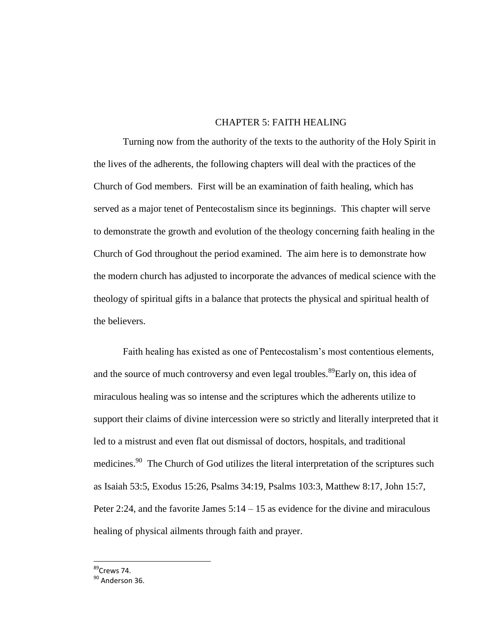# CHAPTER 5: FAITH HEALING

Turning now from the authority of the texts to the authority of the Holy Spirit in the lives of the adherents, the following chapters will deal with the practices of the Church of God members. First will be an examination of faith healing, which has served as a major tenet of Pentecostalism since its beginnings. This chapter will serve to demonstrate the growth and evolution of the theology concerning faith healing in the Church of God throughout the period examined. The aim here is to demonstrate how the modern church has adjusted to incorporate the advances of medical science with the theology of spiritual gifts in a balance that protects the physical and spiritual health of the believers.

Faith healing has existed as one of Pentecostalism's most contentious elements, and the source of much controversy and even legal troubles.<sup>89</sup>Early on, this idea of miraculous healing was so intense and the scriptures which the adherents utilize to support their claims of divine intercession were so strictly and literally interpreted that it led to a mistrust and even flat out dismissal of doctors, hospitals, and traditional medicines.<sup>90</sup> The Church of God utilizes the literal interpretation of the scriptures such as Isaiah 53:5, Exodus 15:26, Psalms 34:19, Psalms 103:3, Matthew 8:17, John 15:7, Peter 2:24, and the favorite James  $5:14 - 15$  as evidence for the divine and miraculous healing of physical ailments through faith and prayer.

l

 $89$ Crews 74

<sup>&</sup>lt;sup>90</sup> Anderson 36.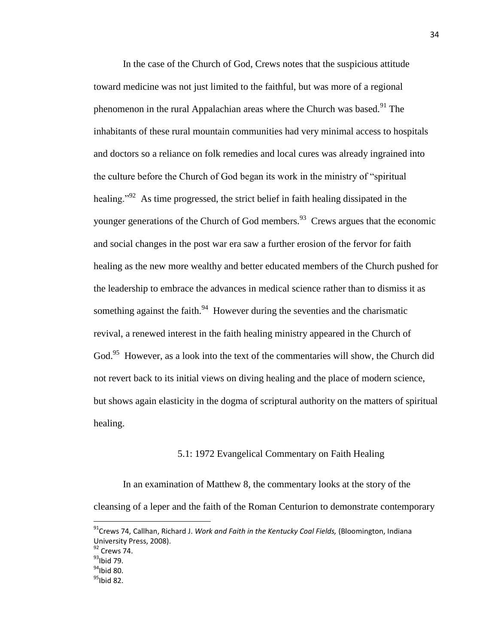In the case of the Church of God, Crews notes that the suspicious attitude toward medicine was not just limited to the faithful, but was more of a regional phenomenon in the rural Appalachian areas where the Church was based.<sup>91</sup> The inhabitants of these rural mountain communities had very minimal access to hospitals and doctors so a reliance on folk remedies and local cures was already ingrained into the culture before the Church of God began its work in the ministry of "spiritual" healing.<sup>992</sup> As time progressed, the strict belief in faith healing dissipated in the younger generations of the Church of God members.<sup>93</sup> Crews argues that the economic and social changes in the post war era saw a further erosion of the fervor for faith healing as the new more wealthy and better educated members of the Church pushed for the leadership to embrace the advances in medical science rather than to dismiss it as something against the faith. $94$  However during the seventies and the charismatic revival, a renewed interest in the faith healing ministry appeared in the Church of God.<sup>95</sup> However, as a look into the text of the commentaries will show, the Church did not revert back to its initial views on diving healing and the place of modern science, but shows again elasticity in the dogma of scriptural authority on the matters of spiritual healing.

## 5.1: 1972 Evangelical Commentary on Faith Healing

In an examination of Matthew 8, the commentary looks at the story of the cleansing of a leper and the faith of the Roman Centurion to demonstrate contemporary

<sup>91</sup>Crews 74, Callhan, Richard J. *Work and Faith in the Kentucky Coal Fields,* (Bloomington, Indiana University Press, 2008).

<sup>&</sup>lt;sup>92</sup> Crews 74.

 $93$ Ibid 79.

 $^{94}$ Ibid 80.

 $95$ Ibid 82.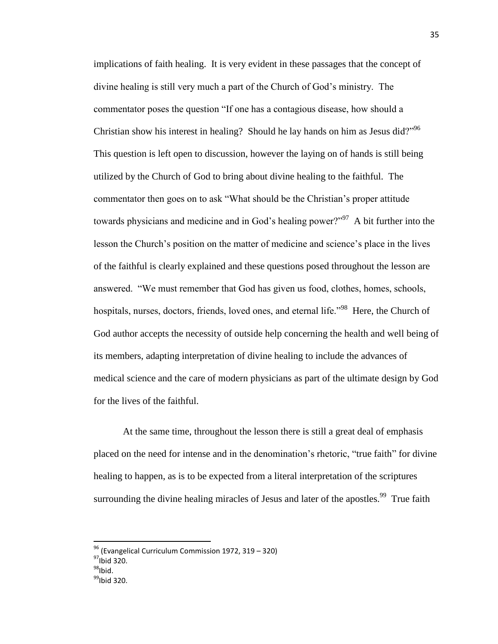implications of faith healing. It is very evident in these passages that the concept of divine healing is still very much a part of the Church of God's ministry. The commentator poses the question "If one has a contagious disease, how should a Christian show his interest in healing? Should he lay hands on him as Jesus did? $^{96}$ This question is left open to discussion, however the laying on of hands is still being utilized by the Church of God to bring about divine healing to the faithful. The commentator then goes on to ask "What should be the Christian's proper attitude towards physicians and medicine and in God's healing power?"<sup>97</sup> A bit further into the lesson the Church's position on the matter of medicine and science's place in the lives of the faithful is clearly explained and these questions posed throughout the lesson are answered. "We must remember that God has given us food, clothes, homes, schools, hospitals, nurses, doctors, friends, loved ones, and eternal life."<sup>98</sup> Here, the Church of God author accepts the necessity of outside help concerning the health and well being of its members, adapting interpretation of divine healing to include the advances of medical science and the care of modern physicians as part of the ultimate design by God for the lives of the faithful.

At the same time, throughout the lesson there is still a great deal of emphasis placed on the need for intense and in the denomination's rhetoric, "true faith" for divine healing to happen, as is to be expected from a literal interpretation of the scriptures surrounding the divine healing miracles of Jesus and later of the apostles.<sup>99</sup> True faith

 $96$  (Evangelical Curriculum Commission 1972, 319 – 320)

 $97$ Ibid 320.

 $^{98}$ lhid

 $99$ Ibid 320.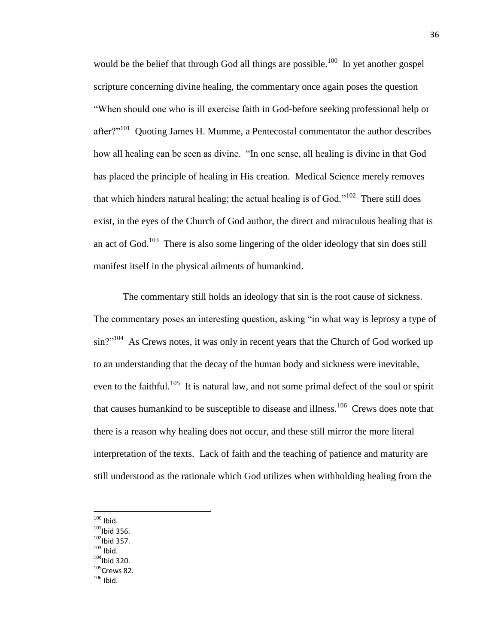would be the belief that through God all things are possible.<sup>100</sup> In yet another gospel scripture concerning divine healing, the commentary once again poses the question ―When should one who is ill exercise faith in God-before seeking professional help or after?"<sup>101</sup> Quoting James H. Mumme, a Pentecostal commentator the author describes how all healing can be seen as divine. "In one sense, all healing is divine in that God has placed the principle of healing in His creation. Medical Science merely removes that which hinders natural healing; the actual healing is of God." $102$  There still does exist, in the eyes of the Church of God author, the direct and miraculous healing that is an act of God.<sup>103</sup> There is also some lingering of the older ideology that sin does still manifest itself in the physical ailments of humankind.

The commentary still holds an ideology that sin is the root cause of sickness. The commentary poses an interesting question, asking "in what way is leprosy a type of  $\sin$ <sup>2,104</sup> As Crews notes, it was only in recent years that the Church of God worked up to an understanding that the decay of the human body and sickness were inevitable, even to the faithful.<sup>105</sup> It is natural law, and not some primal defect of the soul or spirit that causes humankind to be susceptible to disease and illness.<sup>106</sup> Crews does note that there is a reason why healing does not occur, and these still mirror the more literal interpretation of the texts. Lack of faith and the teaching of patience and maturity are still understood as the rationale which God utilizes when withholding healing from the

- $\overline{\phantom{a}}$  $100$  Ibid.
- $101$ Ibid 356.
- $102$ Ibid 357.
- $103$  Ibid.
- $104$ Ibid 320.
- $105$ Crews 82.
- $106$  Ibid.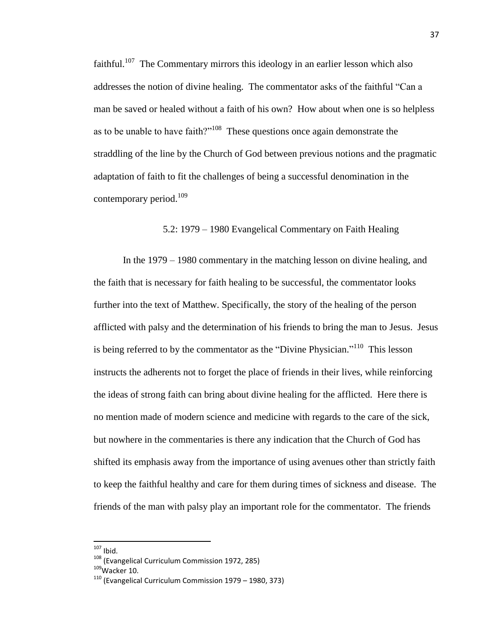faithful.<sup>107</sup> The Commentary mirrors this ideology in an earlier lesson which also addresses the notion of divine healing. The commentator asks of the faithful "Can a man be saved or healed without a faith of his own? How about when one is so helpless as to be unable to have faith? $108$  These questions once again demonstrate the straddling of the line by the Church of God between previous notions and the pragmatic adaptation of faith to fit the challenges of being a successful denomination in the contemporary period.<sup>109</sup>

## 5.2: 1979 – 1980 Evangelical Commentary on Faith Healing

In the 1979 – 1980 commentary in the matching lesson on divine healing, and the faith that is necessary for faith healing to be successful, the commentator looks further into the text of Matthew. Specifically, the story of the healing of the person afflicted with palsy and the determination of his friends to bring the man to Jesus. Jesus is being referred to by the commentator as the "Divine Physician."<sup>110</sup> This lesson instructs the adherents not to forget the place of friends in their lives, while reinforcing the ideas of strong faith can bring about divine healing for the afflicted. Here there is no mention made of modern science and medicine with regards to the care of the sick, but nowhere in the commentaries is there any indication that the Church of God has shifted its emphasis away from the importance of using avenues other than strictly faith to keep the faithful healthy and care for them during times of sickness and disease. The friends of the man with palsy play an important role for the commentator. The friends

 $107$  Ibid.

<sup>108</sup> (Evangelical Curriculum Commission 1972, 285)

 $109$ Wacker 10.

 $110$  (Evangelical Curriculum Commission 1979 – 1980, 373)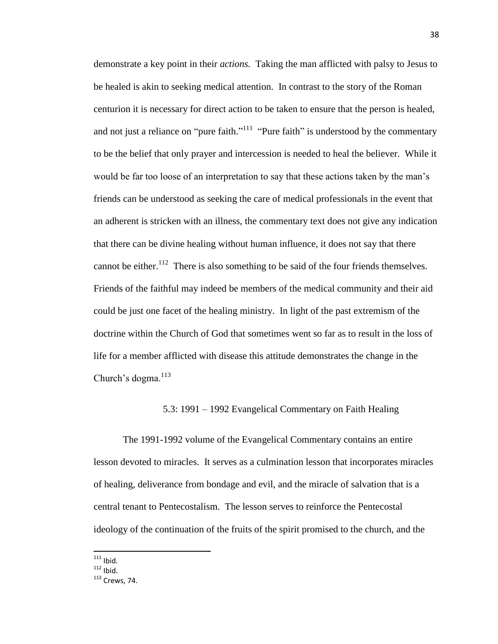demonstrate a key point in their *actions.* Taking the man afflicted with palsy to Jesus to be healed is akin to seeking medical attention. In contrast to the story of the Roman centurion it is necessary for direct action to be taken to ensure that the person is healed, and not just a reliance on "pure faith."<sup>111</sup> "Pure faith" is understood by the commentary to be the belief that only prayer and intercession is needed to heal the believer. While it would be far too loose of an interpretation to say that these actions taken by the man's friends can be understood as seeking the care of medical professionals in the event that an adherent is stricken with an illness, the commentary text does not give any indication that there can be divine healing without human influence, it does not say that there cannot be either.<sup>112</sup> There is also something to be said of the four friends themselves. Friends of the faithful may indeed be members of the medical community and their aid could be just one facet of the healing ministry. In light of the past extremism of the doctrine within the Church of God that sometimes went so far as to result in the loss of life for a member afflicted with disease this attitude demonstrates the change in the Church's dogma.<sup>113</sup>

# 5.3: 1991 – 1992 Evangelical Commentary on Faith Healing

The 1991-1992 volume of the Evangelical Commentary contains an entire lesson devoted to miracles. It serves as a culmination lesson that incorporates miracles of healing, deliverance from bondage and evil, and the miracle of salvation that is a central tenant to Pentecostalism. The lesson serves to reinforce the Pentecostal ideology of the continuation of the fruits of the spirit promised to the church, and the

 $111$  Ibid.

 $112$  Ibid.

 $113$  Crews, 74.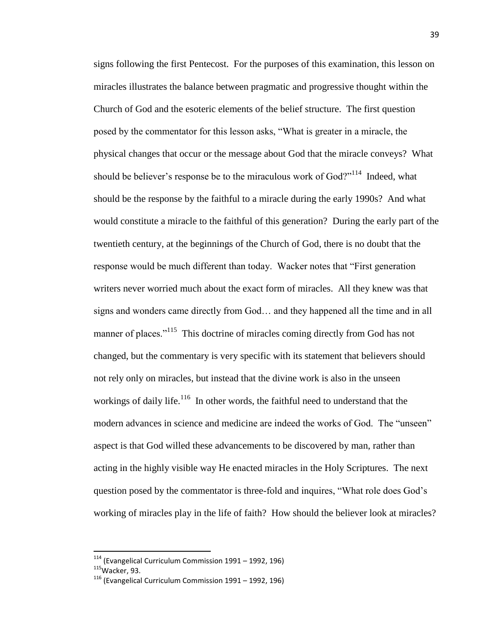signs following the first Pentecost. For the purposes of this examination, this lesson on miracles illustrates the balance between pragmatic and progressive thought within the Church of God and the esoteric elements of the belief structure. The first question posed by the commentator for this lesson asks, ―What is greater in a miracle, the physical changes that occur or the message about God that the miracle conveys? What should be believer's response be to the miraculous work of  $God?$ <sup>114</sup> Indeed, what should be the response by the faithful to a miracle during the early 1990s? And what would constitute a miracle to the faithful of this generation? During the early part of the twentieth century, at the beginnings of the Church of God, there is no doubt that the response would be much different than today. Wacker notes that "First generation" writers never worried much about the exact form of miracles. All they knew was that signs and wonders came directly from God… and they happened all the time and in all manner of places."<sup>115</sup> This doctrine of miracles coming directly from God has not changed, but the commentary is very specific with its statement that believers should not rely only on miracles, but instead that the divine work is also in the unseen workings of daily life.<sup>116</sup> In other words, the faithful need to understand that the modern advances in science and medicine are indeed the works of God. The "unseen" aspect is that God willed these advancements to be discovered by man, rather than acting in the highly visible way He enacted miracles in the Holy Scriptures. The next question posed by the commentator is three-fold and inquires, "What role does God's working of miracles play in the life of faith? How should the believer look at miracles?

 $114$  (Evangelical Curriculum Commission 1991 – 1992, 196)

 $115$ Wacker, 93.

 $116$  (Evangelical Curriculum Commission 1991 – 1992, 196)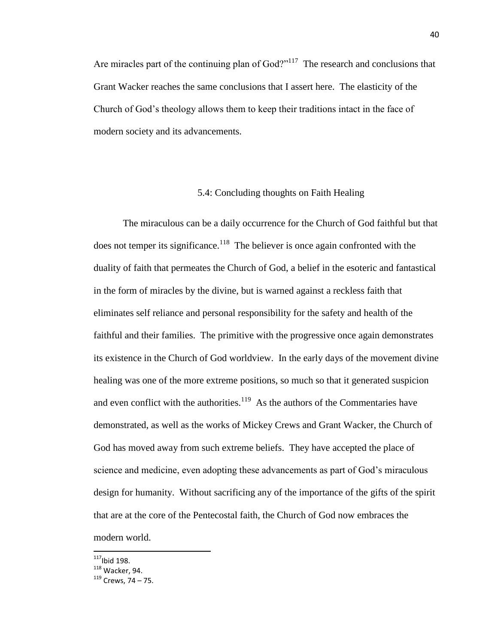Are miracles part of the continuing plan of  $God?$ <sup>117</sup> The research and conclusions that Grant Wacker reaches the same conclusions that I assert here. The elasticity of the Church of God's theology allows them to keep their traditions intact in the face of modern society and its advancements.

# 5.4: Concluding thoughts on Faith Healing

The miraculous can be a daily occurrence for the Church of God faithful but that does not temper its significance.<sup>118</sup> The believer is once again confronted with the duality of faith that permeates the Church of God, a belief in the esoteric and fantastical in the form of miracles by the divine, but is warned against a reckless faith that eliminates self reliance and personal responsibility for the safety and health of the faithful and their families. The primitive with the progressive once again demonstrates its existence in the Church of God worldview. In the early days of the movement divine healing was one of the more extreme positions, so much so that it generated suspicion and even conflict with the authorities. $119$  As the authors of the Commentaries have demonstrated, as well as the works of Mickey Crews and Grant Wacker, the Church of God has moved away from such extreme beliefs. They have accepted the place of science and medicine, even adopting these advancements as part of God's miraculous design for humanity. Without sacrificing any of the importance of the gifts of the spirit that are at the core of the Pentecostal faith, the Church of God now embraces the modern world.

 $117$ Ibid 198.

<sup>118</sup> Wacker, 94.

 $119$  Crews, 74 – 75.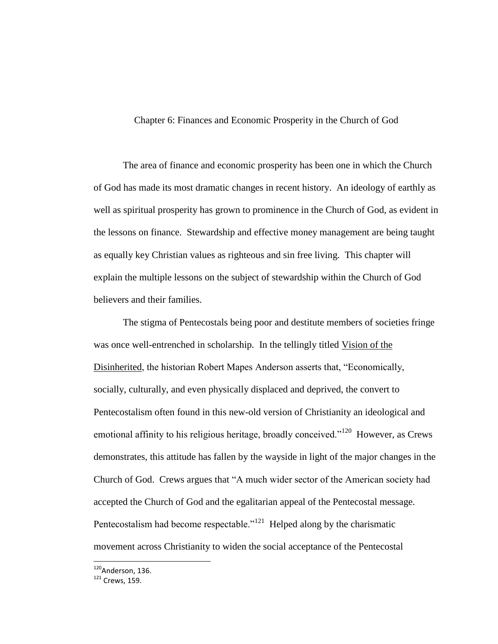# Chapter 6: Finances and Economic Prosperity in the Church of God

The area of finance and economic prosperity has been one in which the Church of God has made its most dramatic changes in recent history. An ideology of earthly as well as spiritual prosperity has grown to prominence in the Church of God, as evident in the lessons on finance. Stewardship and effective money management are being taught as equally key Christian values as righteous and sin free living. This chapter will explain the multiple lessons on the subject of stewardship within the Church of God believers and their families.

The stigma of Pentecostals being poor and destitute members of societies fringe was once well-entrenched in scholarship. In the tellingly titled Vision of the Disinherited, the historian Robert Mapes Anderson asserts that, "Economically, socially, culturally, and even physically displaced and deprived, the convert to Pentecostalism often found in this new-old version of Christianity an ideological and emotional affinity to his religious heritage, broadly conceived."<sup>120</sup> However, as Crews demonstrates, this attitude has fallen by the wayside in light of the major changes in the Church of God. Crews argues that "A much wider sector of the American society had accepted the Church of God and the egalitarian appeal of the Pentecostal message. Pentecostalism had become respectable.<sup> $121$ </sup> Helped along by the charismatic movement across Christianity to widen the social acceptance of the Pentecostal

l

 $120$ Anderson, 136.

<sup>121</sup> Crews, 159.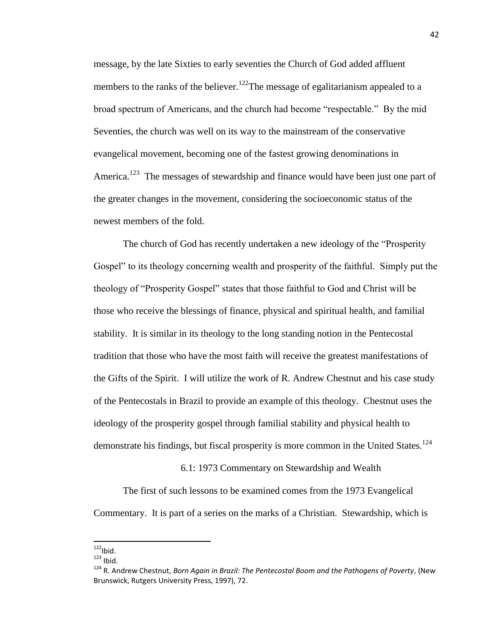message, by the late Sixties to early seventies the Church of God added affluent members to the ranks of the believer.<sup>122</sup>The message of egalitarianism appealed to a broad spectrum of Americans, and the church had become "respectable." By the mid Seventies, the church was well on its way to the mainstream of the conservative evangelical movement, becoming one of the fastest growing denominations in America.<sup>123</sup> The messages of stewardship and finance would have been just one part of the greater changes in the movement, considering the socioeconomic status of the newest members of the fold.

The church of God has recently undertaken a new ideology of the "Prosperity" Gospel" to its theology concerning wealth and prosperity of the faithful. Simply put the theology of "Prosperity Gospel" states that those faithful to God and Christ will be those who receive the blessings of finance, physical and spiritual health, and familial stability. It is similar in its theology to the long standing notion in the Pentecostal tradition that those who have the most faith will receive the greatest manifestations of the Gifts of the Spirit. I will utilize the work of R. Andrew Chestnut and his case study of the Pentecostals in Brazil to provide an example of this theology. Chestnut uses the ideology of the prosperity gospel through familial stability and physical health to demonstrate his findings, but fiscal prosperity is more common in the United States.<sup>124</sup>

6.1: 1973 Commentary on Stewardship and Wealth

The first of such lessons to be examined comes from the 1973 Evangelical Commentary. It is part of a series on the marks of a Christian. Stewardship, which is

 $122$ Ibid.

 $123$  Ibid.

<sup>124</sup> R. Andrew Chestnut, *Born Again in Brazil: The Pentecostal Boom and the Pathogens of Poverty*, (New Brunswick, Rutgers University Press, 1997), 72.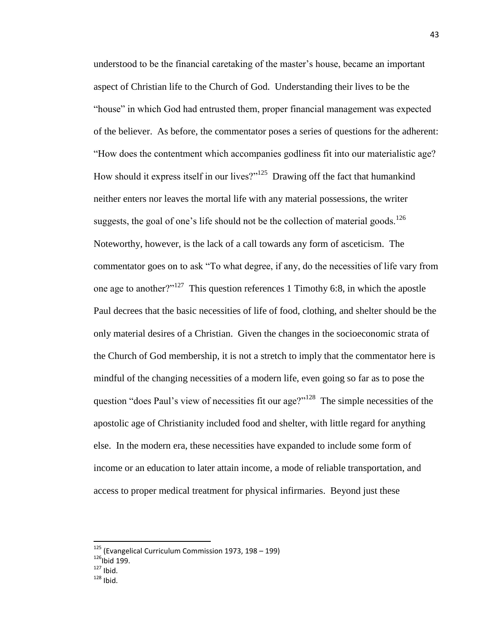understood to be the financial caretaking of the master's house, became an important aspect of Christian life to the Church of God. Understanding their lives to be the ―house‖ in which God had entrusted them, proper financial management was expected of the believer. As before, the commentator poses a series of questions for the adherent: ―How does the contentment which accompanies godliness fit into our materialistic age? How should it express itself in our lives?"<sup>125</sup> Drawing off the fact that humankind neither enters nor leaves the mortal life with any material possessions, the writer suggests, the goal of one's life should not be the collection of material goods.<sup>126</sup> Noteworthy, however, is the lack of a call towards any form of asceticism. The commentator goes on to ask "To what degree, if any, do the necessities of life vary from one age to another?"<sup>127</sup> This question references 1 Timothy 6:8, in which the apostle Paul decrees that the basic necessities of life of food, clothing, and shelter should be the only material desires of a Christian. Given the changes in the socioeconomic strata of the Church of God membership, it is not a stretch to imply that the commentator here is mindful of the changing necessities of a modern life, even going so far as to pose the question "does Paul's view of necessities fit our age?"<sup>128</sup> The simple necessities of the apostolic age of Christianity included food and shelter, with little regard for anything else. In the modern era, these necessities have expanded to include some form of income or an education to later attain income, a mode of reliable transportation, and access to proper medical treatment for physical infirmaries. Beyond just these

<sup>&</sup>lt;sup>125</sup> (Evangelical Curriculum Commission 1973, 198 – 199)

 $126$ Ibid 199.

 $127$  Ibid.

 $128$  Ibid.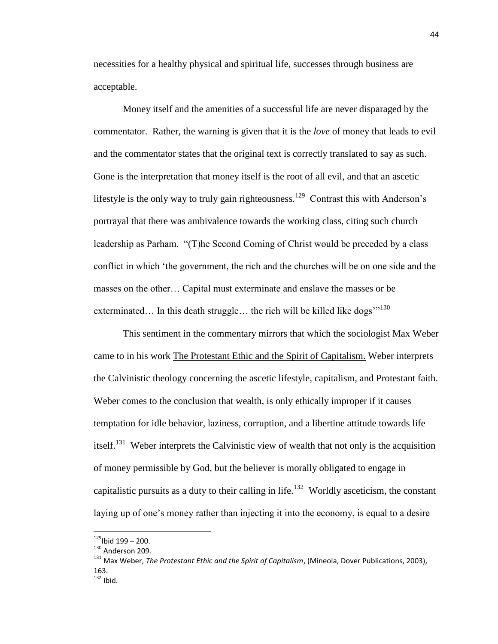necessities for a healthy physical and spiritual life, successes through business are acceptable.

Money itself and the amenities of a successful life are never disparaged by the commentator. Rather, the warning is given that it is the *love* of money that leads to evil and the commentator states that the original text is correctly translated to say as such. Gone is the interpretation that money itself is the root of all evil, and that an ascetic lifestyle is the only way to truly gain righteousness.<sup>129</sup> Contrast this with Anderson's portrayal that there was ambivalence towards the working class, citing such church leadership as Parham. "(T)he Second Coming of Christ would be preceded by a class conflict in which 'the government, the rich and the churches will be on one side and the masses on the other… Capital must exterminate and enslave the masses or be exterminated... In this death struggle... the rich will be killed like dogs<sup> $m130$ </sup>

This sentiment in the commentary mirrors that which the sociologist Max Weber came to in his work The Protestant Ethic and the Spirit of Capitalism. Weber interprets the Calvinistic theology concerning the ascetic lifestyle, capitalism, and Protestant faith. Weber comes to the conclusion that wealth, is only ethically improper if it causes temptation for idle behavior, laziness, corruption, and a libertine attitude towards life itself.<sup>131</sup> Weber interprets the Calvinistic view of wealth that not only is the acquisition of money permissible by God, but the believer is morally obligated to engage in capitalistic pursuits as a duty to their calling in life.<sup>132</sup> Worldly asceticism, the constant laying up of one's money rather than injecting it into the economy, is equal to a desire

l

 $129$ Ibid 199 – 200.

<sup>&</sup>lt;sup>130</sup> Anderson 209.

<sup>131</sup> Max Weber, *The Protestant Ethic and the Spirit of Capitalism*, (Mineola, Dover Publications, 2003), 163.  $132$  Ibid.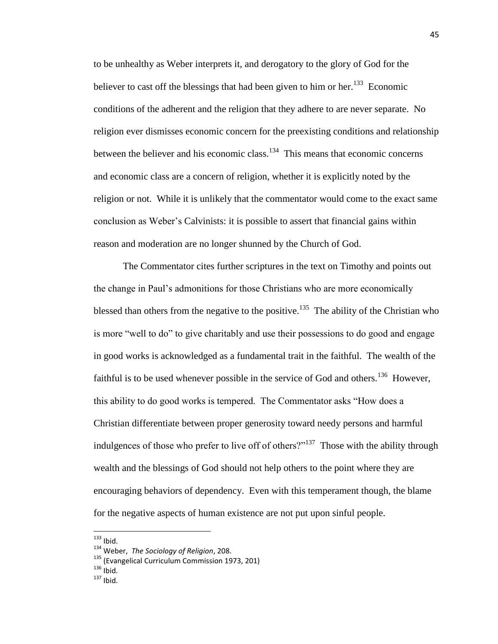to be unhealthy as Weber interprets it, and derogatory to the glory of God for the believer to cast off the blessings that had been given to him or her.<sup>133</sup> Economic conditions of the adherent and the religion that they adhere to are never separate. No religion ever dismisses economic concern for the preexisting conditions and relationship between the believer and his economic class. $134$  This means that economic concerns and economic class are a concern of religion, whether it is explicitly noted by the religion or not. While it is unlikely that the commentator would come to the exact same conclusion as Weber's Calvinists: it is possible to assert that financial gains within reason and moderation are no longer shunned by the Church of God.

The Commentator cites further scriptures in the text on Timothy and points out the change in Paul's admonitions for those Christians who are more economically blessed than others from the negative to the positive.<sup>135</sup> The ability of the Christian who is more "well to do" to give charitably and use their possessions to do good and engage in good works is acknowledged as a fundamental trait in the faithful. The wealth of the faithful is to be used whenever possible in the service of God and others.<sup>136</sup> However, this ability to do good works is tempered. The Commentator asks "How does a Christian differentiate between proper generosity toward needy persons and harmful indulgences of those who prefer to live off of others?"<sup>137</sup> Those with the ability through wealth and the blessings of God should not help others to the point where they are encouraging behaviors of dependency. Even with this temperament though, the blame for the negative aspects of human existence are not put upon sinful people.

l

 $^{133}$  Ibid.

<sup>134</sup> Weber, *The Sociology of Religion*, 208.

<sup>135</sup> (Evangelical Curriculum Commission 1973, 201)

 $136$  ibid.

 $137$  Ibid.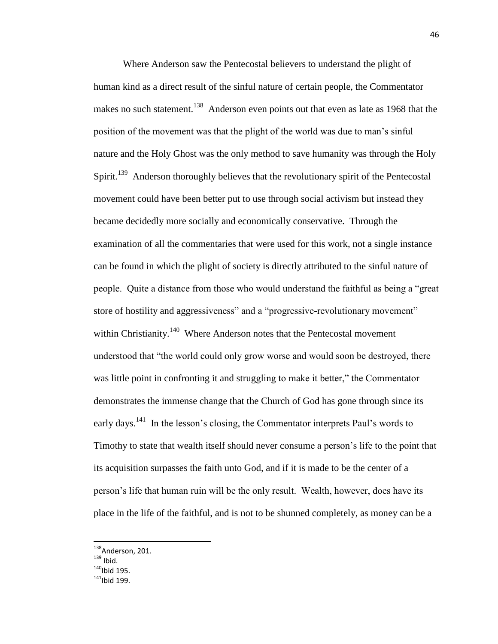Where Anderson saw the Pentecostal believers to understand the plight of human kind as a direct result of the sinful nature of certain people, the Commentator makes no such statement.<sup>138</sup> Anderson even points out that even as late as 1968 that the position of the movement was that the plight of the world was due to man's sinful nature and the Holy Ghost was the only method to save humanity was through the Holy Spirit.<sup>139</sup> Anderson thoroughly believes that the revolutionary spirit of the Pentecostal movement could have been better put to use through social activism but instead they became decidedly more socially and economically conservative. Through the examination of all the commentaries that were used for this work, not a single instance can be found in which the plight of society is directly attributed to the sinful nature of people. Quite a distance from those who would understand the faithful as being a "great" store of hostility and aggressiveness" and a "progressive-revolutionary movement" within Christianity.<sup>140</sup> Where Anderson notes that the Pentecostal movement understood that "the world could only grow worse and would soon be destroyed, there was little point in confronting it and struggling to make it better," the Commentator demonstrates the immense change that the Church of God has gone through since its early days.<sup>141</sup> In the lesson's closing, the Commentator interprets Paul's words to Timothy to state that wealth itself should never consume a person's life to the point that its acquisition surpasses the faith unto God, and if it is made to be the center of a person's life that human ruin will be the only result. Wealth, however, does have its place in the life of the faithful, and is not to be shunned completely, as money can be a

<sup>&</sup>lt;sup>138</sup>Anderson, 201.

 $139$  Ibid.

 $140$ Ibid 195.

 $141$ Ibid 199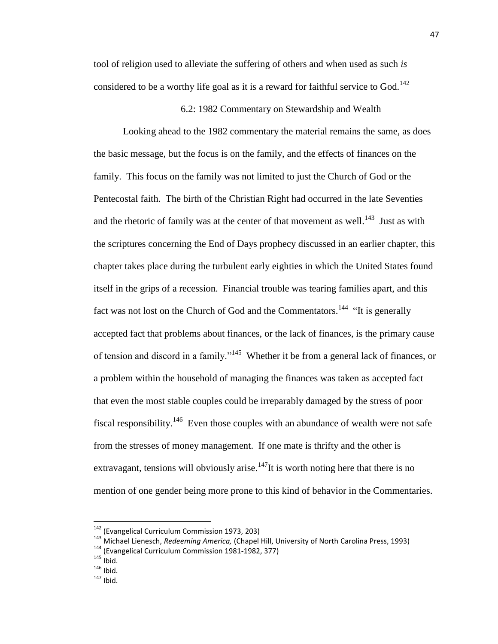tool of religion used to alleviate the suffering of others and when used as such *is* considered to be a worthy life goal as it is a reward for faithful service to God.<sup>142</sup>

6.2: 1982 Commentary on Stewardship and Wealth

Looking ahead to the 1982 commentary the material remains the same, as does the basic message, but the focus is on the family, and the effects of finances on the family. This focus on the family was not limited to just the Church of God or the Pentecostal faith. The birth of the Christian Right had occurred in the late Seventies and the rhetoric of family was at the center of that movement as well.<sup>143</sup> Just as with the scriptures concerning the End of Days prophecy discussed in an earlier chapter, this chapter takes place during the turbulent early eighties in which the United States found itself in the grips of a recession. Financial trouble was tearing families apart, and this fact was not lost on the Church of God and the Commentators.<sup>144</sup> "It is generally accepted fact that problems about finances, or the lack of finances, is the primary cause of tension and discord in a family."<sup>145</sup> Whether it be from a general lack of finances, or a problem within the household of managing the finances was taken as accepted fact that even the most stable couples could be irreparably damaged by the stress of poor fiscal responsibility.<sup>146</sup> Even those couples with an abundance of wealth were not safe from the stresses of money management. If one mate is thrifty and the other is extravagant, tensions will obviously arise.<sup>147</sup>It is worth noting here that there is no mention of one gender being more prone to this kind of behavior in the Commentaries.

<sup>&</sup>lt;sup>142</sup> (Evangelical Curriculum Commission 1973, 203)

<sup>143</sup> Michael Lienesch, *Redeeming America,* (Chapel Hill, University of North Carolina Press, 1993)

<sup>144</sup> (Evangelical Curriculum Commission 1981-1982, 377)

 $145$  lbid.

 $146$  Ibid.

 $147$  Ibid.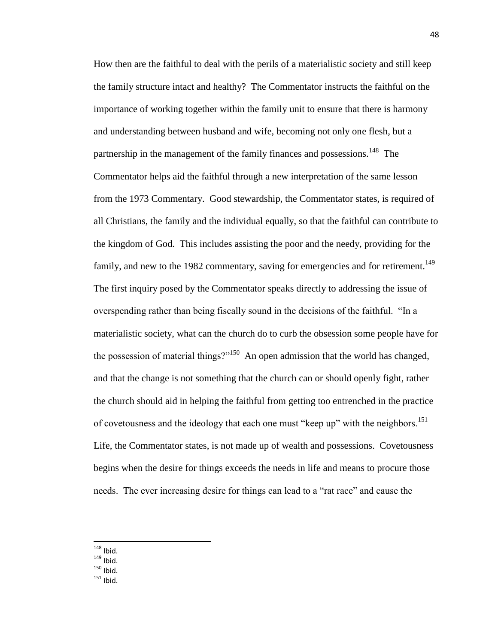How then are the faithful to deal with the perils of a materialistic society and still keep the family structure intact and healthy? The Commentator instructs the faithful on the importance of working together within the family unit to ensure that there is harmony and understanding between husband and wife, becoming not only one flesh, but a partnership in the management of the family finances and possessions.<sup>148</sup> The Commentator helps aid the faithful through a new interpretation of the same lesson from the 1973 Commentary. Good stewardship, the Commentator states, is required of all Christians, the family and the individual equally, so that the faithful can contribute to the kingdom of God. This includes assisting the poor and the needy, providing for the family, and new to the 1982 commentary, saving for emergencies and for retirement.<sup>149</sup> The first inquiry posed by the Commentator speaks directly to addressing the issue of overspending rather than being fiscally sound in the decisions of the faithful. "In a materialistic society, what can the church do to curb the obsession some people have for the possession of material things?"<sup>150</sup> An open admission that the world has changed, and that the change is not something that the church can or should openly fight, rather the church should aid in helping the faithful from getting too entrenched in the practice of covetousness and the ideology that each one must "keep up" with the neighbors.<sup>151</sup> Life, the Commentator states, is not made up of wealth and possessions. Covetousness begins when the desire for things exceeds the needs in life and means to procure those needs. The ever increasing desire for things can lead to a "rat race" and cause the

- $149$  Ibid.
- $150$  Ibid.
- $151$  Ibid.

 $148$  Ibid.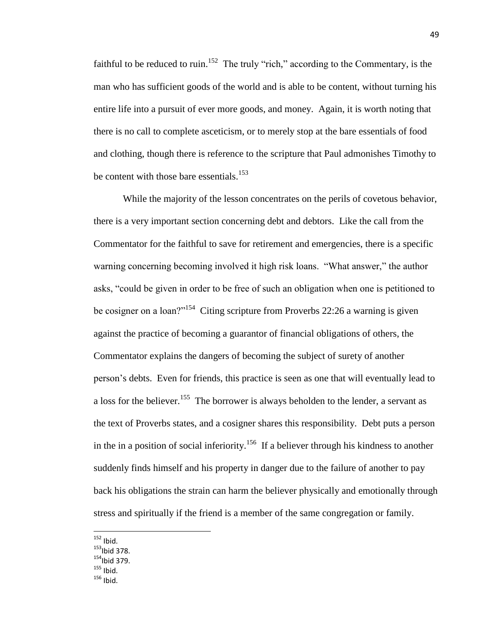faithful to be reduced to ruin.<sup>152</sup> The truly "rich," according to the Commentary, is the man who has sufficient goods of the world and is able to be content, without turning his entire life into a pursuit of ever more goods, and money. Again, it is worth noting that there is no call to complete asceticism, or to merely stop at the bare essentials of food and clothing, though there is reference to the scripture that Paul admonishes Timothy to be content with those bare essentials.<sup>153</sup>

While the majority of the lesson concentrates on the perils of covetous behavior, there is a very important section concerning debt and debtors. Like the call from the Commentator for the faithful to save for retirement and emergencies, there is a specific warning concerning becoming involved it high risk loans. "What answer," the author asks, "could be given in order to be free of such an obligation when one is petitioned to be cosigner on a loan?"<sup>154</sup> Citing scripture from Proverbs 22:26 a warning is given against the practice of becoming a guarantor of financial obligations of others, the Commentator explains the dangers of becoming the subject of surety of another person's debts. Even for friends, this practice is seen as one that will eventually lead to a loss for the believer.<sup>155</sup> The borrower is always beholden to the lender, a servant as the text of Proverbs states, and a cosigner shares this responsibility. Debt puts a person in the in a position of social inferiority.<sup>156</sup> If a believer through his kindness to another suddenly finds himself and his property in danger due to the failure of another to pay back his obligations the strain can harm the believer physically and emotionally through stress and spiritually if the friend is a member of the same congregation or family.

l

 $155$  Ibid.

 $152$  Ibid.

 $153$ lbid 378.

<sup>&</sup>lt;sup>154</sup>Ibid 379.

 $156$  Ibid.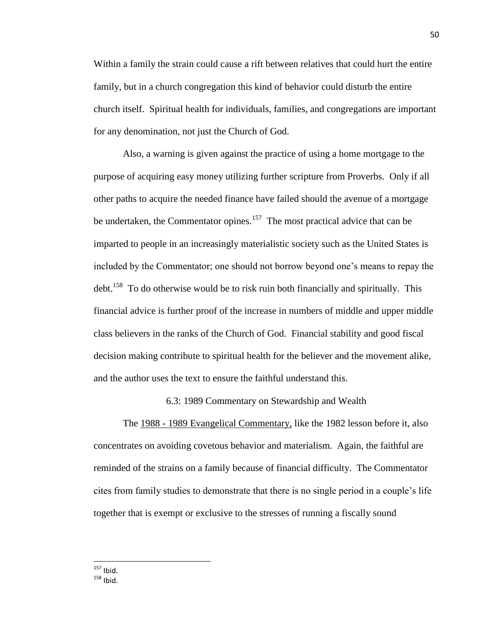Within a family the strain could cause a rift between relatives that could hurt the entire family, but in a church congregation this kind of behavior could disturb the entire church itself. Spiritual health for individuals, families, and congregations are important for any denomination, not just the Church of God.

Also, a warning is given against the practice of using a home mortgage to the purpose of acquiring easy money utilizing further scripture from Proverbs. Only if all other paths to acquire the needed finance have failed should the avenue of a mortgage be undertaken, the Commentator opines.<sup>157</sup> The most practical advice that can be imparted to people in an increasingly materialistic society such as the United States is included by the Commentator; one should not borrow beyond one's means to repay the debt.<sup>158</sup> To do otherwise would be to risk ruin both financially and spiritually. This financial advice is further proof of the increase in numbers of middle and upper middle class believers in the ranks of the Church of God. Financial stability and good fiscal decision making contribute to spiritual health for the believer and the movement alike, and the author uses the text to ensure the faithful understand this.

6.3: 1989 Commentary on Stewardship and Wealth

The 1988 - 1989 Evangelical Commentary, like the 1982 lesson before it, also concentrates on avoiding covetous behavior and materialism. Again, the faithful are reminded of the strains on a family because of financial difficulty. The Commentator cites from family studies to demonstrate that there is no single period in a couple's life together that is exempt or exclusive to the stresses of running a fiscally sound

l  $157$  Ibid.

 $158$  Ibid.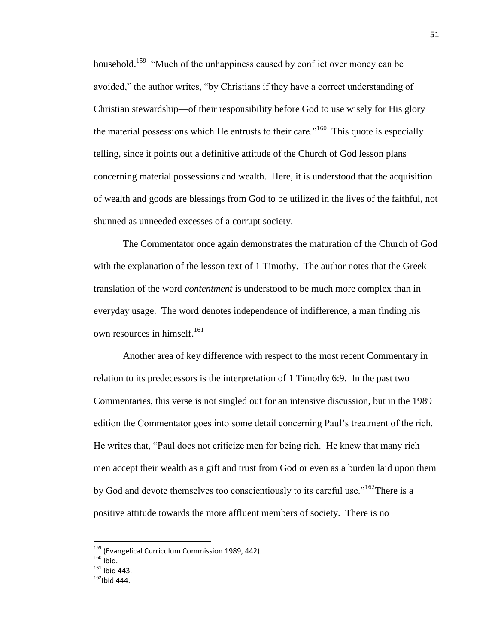household.<sup>159</sup> "Much of the unhappiness caused by conflict over money can be avoided," the author writes, "by Christians if they have a correct understanding of Christian stewardship—of their responsibility before God to use wisely for His glory the material possessions which He entrusts to their care.<sup> $160$ </sup> This quote is especially telling, since it points out a definitive attitude of the Church of God lesson plans concerning material possessions and wealth. Here, it is understood that the acquisition of wealth and goods are blessings from God to be utilized in the lives of the faithful, not shunned as unneeded excesses of a corrupt society.

The Commentator once again demonstrates the maturation of the Church of God with the explanation of the lesson text of 1 Timothy. The author notes that the Greek translation of the word *contentment* is understood to be much more complex than in everyday usage. The word denotes independence of indifference, a man finding his own resources in himself.<sup>161</sup>

Another area of key difference with respect to the most recent Commentary in relation to its predecessors is the interpretation of 1 Timothy 6:9. In the past two Commentaries, this verse is not singled out for an intensive discussion, but in the 1989 edition the Commentator goes into some detail concerning Paul's treatment of the rich. He writes that, "Paul does not criticize men for being rich. He knew that many rich men accept their wealth as a gift and trust from God or even as a burden laid upon them by God and devote themselves too conscientiously to its careful use."<sup>162</sup>There is a positive attitude towards the more affluent members of society. There is no

<sup>&</sup>lt;sup>159</sup> (Evangelical Curriculum Commission 1989, 442).

 $160$  Ibid.

 $161$  Ibid 443.

 $162$ Ibid 444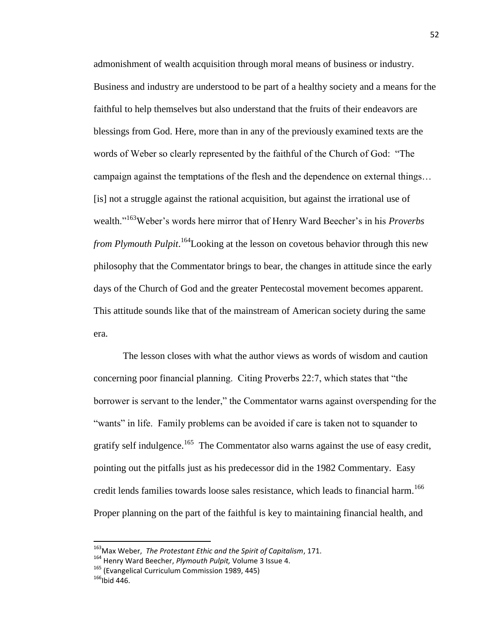admonishment of wealth acquisition through moral means of business or industry. Business and industry are understood to be part of a healthy society and a means for the faithful to help themselves but also understand that the fruits of their endeavors are blessings from God. Here, more than in any of the previously examined texts are the words of Weber so clearly represented by the faithful of the Church of God: "The campaign against the temptations of the flesh and the dependence on external things… [is] not a struggle against the rational acquisition, but against the irrational use of wealth."<sup>163</sup>Weber's words here mirror that of Henry Ward Beecher's in his *Proverbs from Plymouth Pulpit*. <sup>164</sup>Looking at the lesson on covetous behavior through this new philosophy that the Commentator brings to bear, the changes in attitude since the early days of the Church of God and the greater Pentecostal movement becomes apparent. This attitude sounds like that of the mainstream of American society during the same era.

The lesson closes with what the author views as words of wisdom and caution concerning poor financial planning. Citing Proverbs 22:7, which states that "the borrower is servant to the lender," the Commentator warns against overspending for the "wants" in life. Family problems can be avoided if care is taken not to squander to gratify self indulgence.<sup>165</sup> The Commentator also warns against the use of easy credit, pointing out the pitfalls just as his predecessor did in the 1982 Commentary. Easy credit lends families towards loose sales resistance, which leads to financial harm.<sup>166</sup> Proper planning on the part of the faithful is key to maintaining financial health, and

<sup>165</sup> (Evangelical Curriculum Commission 1989, 445)

<sup>163</sup>Max Weber, *The Protestant Ethic and the Spirit of Capitalism*, 171.

<sup>164</sup> Henry Ward Beecher, *Plymouth Pulpit,* Volume 3 Issue 4.

 $166$ <sup>166</sup>Ibid 446.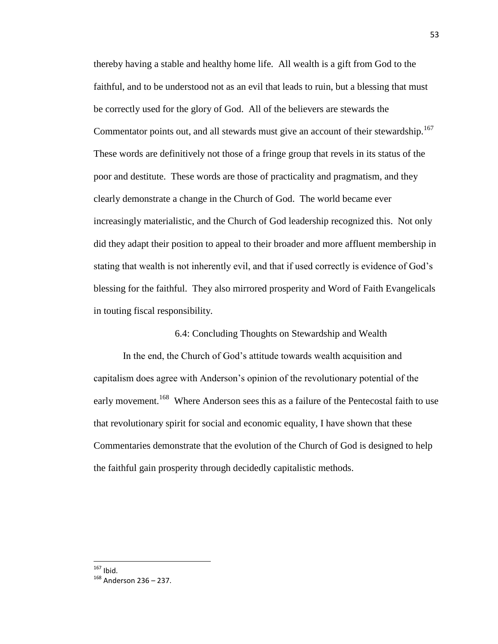thereby having a stable and healthy home life. All wealth is a gift from God to the faithful, and to be understood not as an evil that leads to ruin, but a blessing that must be correctly used for the glory of God. All of the believers are stewards the Commentator points out, and all stewards must give an account of their stewardship.<sup>167</sup> These words are definitively not those of a fringe group that revels in its status of the poor and destitute. These words are those of practicality and pragmatism, and they clearly demonstrate a change in the Church of God. The world became ever increasingly materialistic, and the Church of God leadership recognized this. Not only did they adapt their position to appeal to their broader and more affluent membership in stating that wealth is not inherently evil, and that if used correctly is evidence of God's blessing for the faithful. They also mirrored prosperity and Word of Faith Evangelicals in touting fiscal responsibility.

6.4: Concluding Thoughts on Stewardship and Wealth

In the end, the Church of God's attitude towards wealth acquisition and capitalism does agree with Anderson's opinion of the revolutionary potential of the early movement.<sup>168</sup> Where Anderson sees this as a failure of the Pentecostal faith to use that revolutionary spirit for social and economic equality, I have shown that these Commentaries demonstrate that the evolution of the Church of God is designed to help the faithful gain prosperity through decidedly capitalistic methods.

l

<sup>168</sup> Anderson 236 – 237.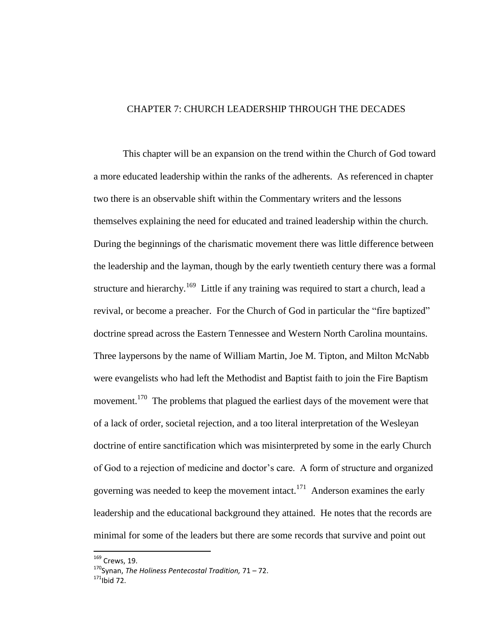# CHAPTER 7: CHURCH LEADERSHIP THROUGH THE DECADES

This chapter will be an expansion on the trend within the Church of God toward a more educated leadership within the ranks of the adherents. As referenced in chapter two there is an observable shift within the Commentary writers and the lessons themselves explaining the need for educated and trained leadership within the church. During the beginnings of the charismatic movement there was little difference between the leadership and the layman, though by the early twentieth century there was a formal structure and hierarchy.<sup>169</sup> Little if any training was required to start a church, lead a revival, or become a preacher. For the Church of God in particular the "fire baptized" doctrine spread across the Eastern Tennessee and Western North Carolina mountains. Three laypersons by the name of William Martin, Joe M. Tipton, and Milton McNabb were evangelists who had left the Methodist and Baptist faith to join the Fire Baptism movement.<sup>170</sup> The problems that plagued the earliest days of the movement were that of a lack of order, societal rejection, and a too literal interpretation of the Wesleyan doctrine of entire sanctification which was misinterpreted by some in the early Church of God to a rejection of medicine and doctor's care. A form of structure and organized governing was needed to keep the movement intact.<sup>171</sup> Anderson examines the early leadership and the educational background they attained. He notes that the records are minimal for some of the leaders but there are some records that survive and point out

 $169$  Crews, 19.

<sup>170</sup>Synan, *The Holiness Pentecostal Tradition,* 71 – 72.

 $171$ Ibid 72.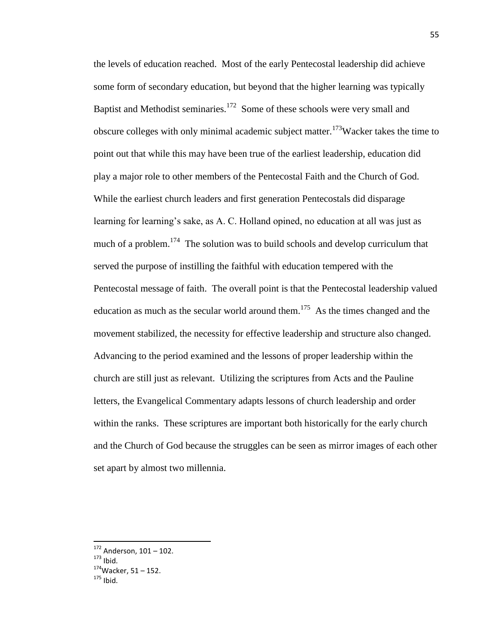the levels of education reached. Most of the early Pentecostal leadership did achieve some form of secondary education, but beyond that the higher learning was typically Baptist and Methodist seminaries. $172$  Some of these schools were very small and obscure colleges with only minimal academic subject matter.<sup>173</sup>Wacker takes the time to point out that while this may have been true of the earliest leadership, education did play a major role to other members of the Pentecostal Faith and the Church of God. While the earliest church leaders and first generation Pentecostals did disparage learning for learning's sake, as A. C. Holland opined, no education at all was just as much of a problem.<sup>174</sup> The solution was to build schools and develop curriculum that served the purpose of instilling the faithful with education tempered with the Pentecostal message of faith. The overall point is that the Pentecostal leadership valued education as much as the secular world around them.<sup>175</sup> As the times changed and the movement stabilized, the necessity for effective leadership and structure also changed. Advancing to the period examined and the lessons of proper leadership within the church are still just as relevant. Utilizing the scriptures from Acts and the Pauline letters, the Evangelical Commentary adapts lessons of church leadership and order within the ranks. These scriptures are important both historically for the early church and the Church of God because the struggles can be seen as mirror images of each other set apart by almost two millennia.

 $172$  Anderson,  $101 - 102$ .

 $173$  Ibid.

 $174$ Wacker, 51 – 152.

 $175$  Ibid.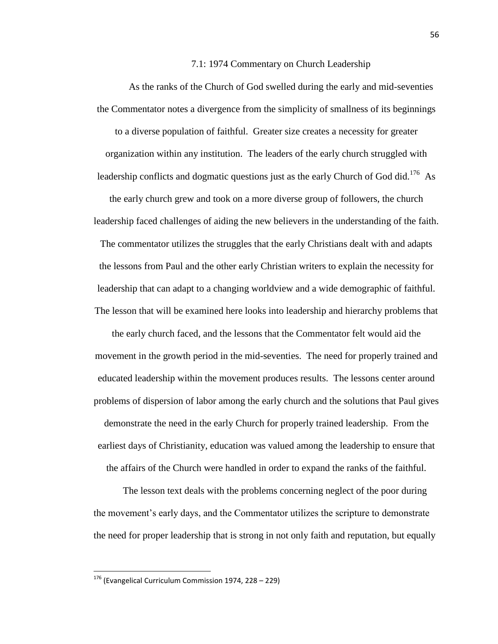#### 7.1: 1974 Commentary on Church Leadership

As the ranks of the Church of God swelled during the early and mid-seventies the Commentator notes a divergence from the simplicity of smallness of its beginnings to a diverse population of faithful. Greater size creates a necessity for greater organization within any institution. The leaders of the early church struggled with leadership conflicts and dogmatic questions just as the early Church of God did.<sup>176</sup> As the early church grew and took on a more diverse group of followers, the church leadership faced challenges of aiding the new believers in the understanding of the faith. The commentator utilizes the struggles that the early Christians dealt with and adapts the lessons from Paul and the other early Christian writers to explain the necessity for leadership that can adapt to a changing worldview and a wide demographic of faithful. The lesson that will be examined here looks into leadership and hierarchy problems that the early church faced, and the lessons that the Commentator felt would aid the movement in the growth period in the mid-seventies. The need for properly trained and educated leadership within the movement produces results. The lessons center around problems of dispersion of labor among the early church and the solutions that Paul gives demonstrate the need in the early Church for properly trained leadership. From the earliest days of Christianity, education was valued among the leadership to ensure that the affairs of the Church were handled in order to expand the ranks of the faithful.

The lesson text deals with the problems concerning neglect of the poor during the movement's early days, and the Commentator utilizes the scripture to demonstrate the need for proper leadership that is strong in not only faith and reputation, but equally

 $176$  (Evangelical Curriculum Commission 1974, 228 – 229)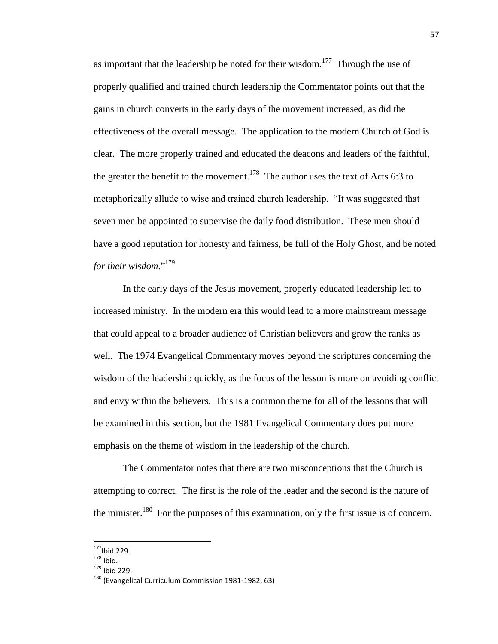as important that the leadership be noted for their wisdom.<sup>177</sup> Through the use of properly qualified and trained church leadership the Commentator points out that the gains in church converts in the early days of the movement increased, as did the effectiveness of the overall message. The application to the modern Church of God is clear. The more properly trained and educated the deacons and leaders of the faithful, the greater the benefit to the movement.<sup>178</sup> The author uses the text of Acts 6:3 to metaphorically allude to wise and trained church leadership. "It was suggested that seven men be appointed to supervise the daily food distribution. These men should have a good reputation for honesty and fairness, be full of the Holy Ghost, and be noted *for their wisdom*.‖<sup>179</sup>

In the early days of the Jesus movement, properly educated leadership led to increased ministry. In the modern era this would lead to a more mainstream message that could appeal to a broader audience of Christian believers and grow the ranks as well. The 1974 Evangelical Commentary moves beyond the scriptures concerning the wisdom of the leadership quickly, as the focus of the lesson is more on avoiding conflict and envy within the believers. This is a common theme for all of the lessons that will be examined in this section, but the 1981 Evangelical Commentary does put more emphasis on the theme of wisdom in the leadership of the church.

The Commentator notes that there are two misconceptions that the Church is attempting to correct. The first is the role of the leader and the second is the nature of the minister.<sup>180</sup> For the purposes of this examination, only the first issue is of concern.

 $177$ Ibid 229.

 $178$  Ibid.

<sup>179</sup> Ibid 229.

<sup>&</sup>lt;sup>180</sup> (Evangelical Curriculum Commission 1981-1982, 63)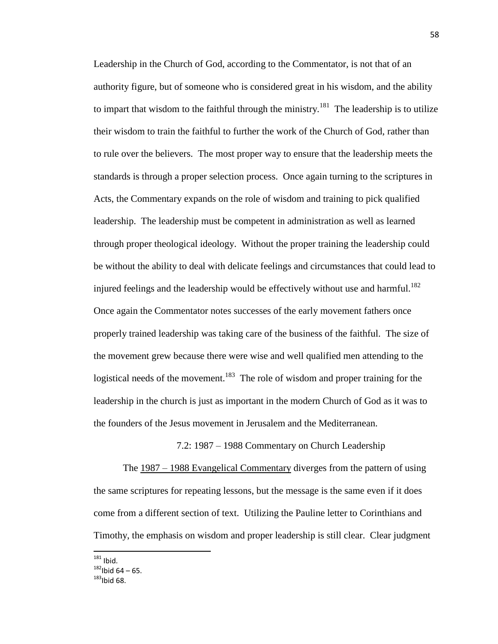Leadership in the Church of God, according to the Commentator, is not that of an authority figure, but of someone who is considered great in his wisdom, and the ability to impart that wisdom to the faithful through the ministry.<sup>181</sup> The leadership is to utilize their wisdom to train the faithful to further the work of the Church of God, rather than to rule over the believers. The most proper way to ensure that the leadership meets the standards is through a proper selection process. Once again turning to the scriptures in Acts, the Commentary expands on the role of wisdom and training to pick qualified leadership. The leadership must be competent in administration as well as learned through proper theological ideology. Without the proper training the leadership could be without the ability to deal with delicate feelings and circumstances that could lead to injured feelings and the leadership would be effectively without use and harmful.<sup>182</sup> Once again the Commentator notes successes of the early movement fathers once properly trained leadership was taking care of the business of the faithful. The size of the movement grew because there were wise and well qualified men attending to the logistical needs of the movement.<sup>183</sup> The role of wisdom and proper training for the leadership in the church is just as important in the modern Church of God as it was to the founders of the Jesus movement in Jerusalem and the Mediterranean.

7.2: 1987 – 1988 Commentary on Church Leadership

The 1987 – 1988 Evangelical Commentary diverges from the pattern of using the same scriptures for repeating lessons, but the message is the same even if it does come from a different section of text. Utilizing the Pauline letter to Corinthians and Timothy, the emphasis on wisdom and proper leadership is still clear. Clear judgment

 $\overline{\phantom{a}}$  $181$  Ibid.

 $182$ Ibid 64 – 65.

 $183$ Ibid 68.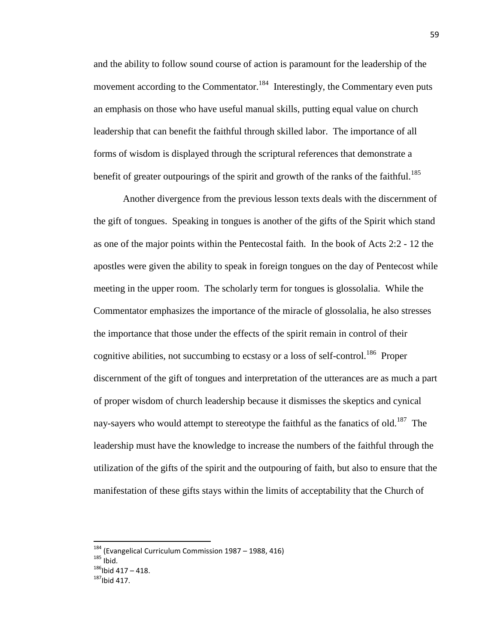and the ability to follow sound course of action is paramount for the leadership of the movement according to the Commentator.<sup>184</sup> Interestingly, the Commentary even puts an emphasis on those who have useful manual skills, putting equal value on church leadership that can benefit the faithful through skilled labor. The importance of all forms of wisdom is displayed through the scriptural references that demonstrate a benefit of greater outpourings of the spirit and growth of the ranks of the faithful.<sup>185</sup>

Another divergence from the previous lesson texts deals with the discernment of the gift of tongues. Speaking in tongues is another of the gifts of the Spirit which stand as one of the major points within the Pentecostal faith. In the book of Acts 2:2 - 12 the apostles were given the ability to speak in foreign tongues on the day of Pentecost while meeting in the upper room. The scholarly term for tongues is glossolalia. While the Commentator emphasizes the importance of the miracle of glossolalia, he also stresses the importance that those under the effects of the spirit remain in control of their cognitive abilities, not succumbing to ecstasy or a loss of self-control.<sup>186</sup> Proper discernment of the gift of tongues and interpretation of the utterances are as much a part of proper wisdom of church leadership because it dismisses the skeptics and cynical nay-sayers who would attempt to stereotype the faithful as the fanatics of old.<sup>187</sup> The leadership must have the knowledge to increase the numbers of the faithful through the utilization of the gifts of the spirit and the outpouring of faith, but also to ensure that the manifestation of these gifts stays within the limits of acceptability that the Church of

<sup>&</sup>lt;sup>184</sup> (Evangelical Curriculum Commission 1987 – 1988, 416)

 $185$  Ibid.

 $186$ Ibid 417 – 418.

 $187$ Ibid 417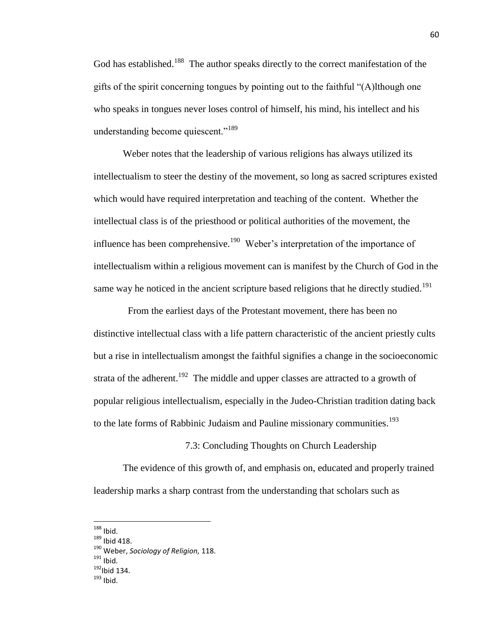God has established.<sup>188</sup> The author speaks directly to the correct manifestation of the gifts of the spirit concerning tongues by pointing out to the faithful  $(A)$ lthough one who speaks in tongues never loses control of himself, his mind, his intellect and his understanding become quiescent."<sup>189</sup>

Weber notes that the leadership of various religions has always utilized its intellectualism to steer the destiny of the movement, so long as sacred scriptures existed which would have required interpretation and teaching of the content. Whether the intellectual class is of the priesthood or political authorities of the movement, the influence has been comprehensive.<sup>190</sup> Weber's interpretation of the importance of intellectualism within a religious movement can is manifest by the Church of God in the same way he noticed in the ancient scripture based religions that he directly studied.<sup>191</sup>

 From the earliest days of the Protestant movement, there has been no distinctive intellectual class with a life pattern characteristic of the ancient priestly cults but a rise in intellectualism amongst the faithful signifies a change in the socioeconomic strata of the adherent.<sup>192</sup> The middle and upper classes are attracted to a growth of popular religious intellectualism, especially in the Judeo-Christian tradition dating back to the late forms of Rabbinic Judaism and Pauline missionary communities.<sup>193</sup>

7.3: Concluding Thoughts on Church Leadership

The evidence of this growth of, and emphasis on, educated and properly trained leadership marks a sharp contrast from the understanding that scholars such as

 $188$  Ibid.

<sup>189</sup> Ibid 418.

<sup>190</sup> Weber, *Sociology of Religion,* 118.

 $191$  Ibid.

 $192$ Ibid 134.

 $193$  Ibid.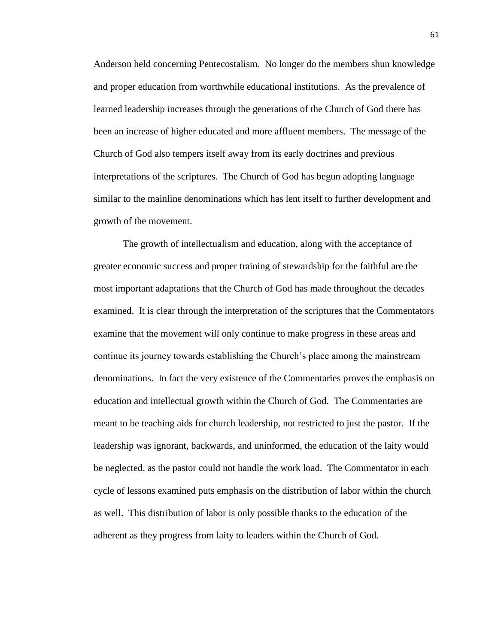Anderson held concerning Pentecostalism. No longer do the members shun knowledge and proper education from worthwhile educational institutions. As the prevalence of learned leadership increases through the generations of the Church of God there has been an increase of higher educated and more affluent members. The message of the Church of God also tempers itself away from its early doctrines and previous interpretations of the scriptures. The Church of God has begun adopting language similar to the mainline denominations which has lent itself to further development and growth of the movement.

The growth of intellectualism and education, along with the acceptance of greater economic success and proper training of stewardship for the faithful are the most important adaptations that the Church of God has made throughout the decades examined. It is clear through the interpretation of the scriptures that the Commentators examine that the movement will only continue to make progress in these areas and continue its journey towards establishing the Church's place among the mainstream denominations. In fact the very existence of the Commentaries proves the emphasis on education and intellectual growth within the Church of God. The Commentaries are meant to be teaching aids for church leadership, not restricted to just the pastor. If the leadership was ignorant, backwards, and uninformed, the education of the laity would be neglected, as the pastor could not handle the work load. The Commentator in each cycle of lessons examined puts emphasis on the distribution of labor within the church as well. This distribution of labor is only possible thanks to the education of the adherent as they progress from laity to leaders within the Church of God.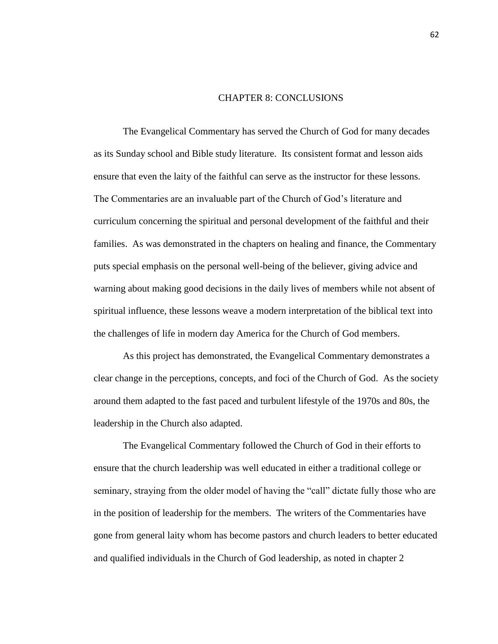#### CHAPTER 8: CONCLUSIONS

The Evangelical Commentary has served the Church of God for many decades as its Sunday school and Bible study literature. Its consistent format and lesson aids ensure that even the laity of the faithful can serve as the instructor for these lessons. The Commentaries are an invaluable part of the Church of God's literature and curriculum concerning the spiritual and personal development of the faithful and their families. As was demonstrated in the chapters on healing and finance, the Commentary puts special emphasis on the personal well-being of the believer, giving advice and warning about making good decisions in the daily lives of members while not absent of spiritual influence, these lessons weave a modern interpretation of the biblical text into the challenges of life in modern day America for the Church of God members.

As this project has demonstrated, the Evangelical Commentary demonstrates a clear change in the perceptions, concepts, and foci of the Church of God. As the society around them adapted to the fast paced and turbulent lifestyle of the 1970s and 80s, the leadership in the Church also adapted.

The Evangelical Commentary followed the Church of God in their efforts to ensure that the church leadership was well educated in either a traditional college or seminary, straying from the older model of having the "call" dictate fully those who are in the position of leadership for the members. The writers of the Commentaries have gone from general laity whom has become pastors and church leaders to better educated and qualified individuals in the Church of God leadership, as noted in chapter 2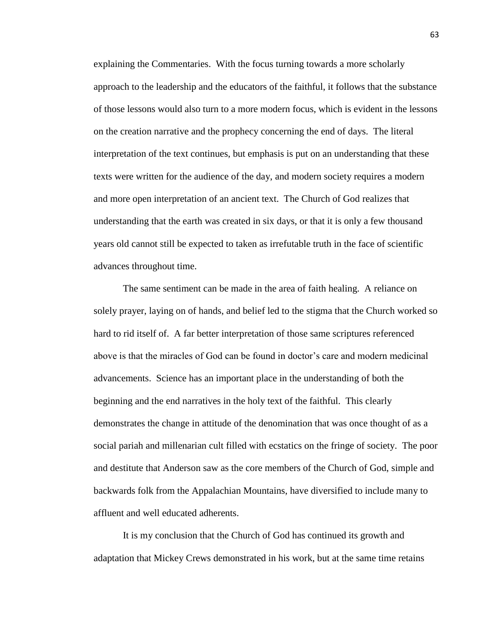explaining the Commentaries. With the focus turning towards a more scholarly approach to the leadership and the educators of the faithful, it follows that the substance of those lessons would also turn to a more modern focus, which is evident in the lessons on the creation narrative and the prophecy concerning the end of days. The literal interpretation of the text continues, but emphasis is put on an understanding that these texts were written for the audience of the day, and modern society requires a modern and more open interpretation of an ancient text. The Church of God realizes that understanding that the earth was created in six days, or that it is only a few thousand years old cannot still be expected to taken as irrefutable truth in the face of scientific advances throughout time.

The same sentiment can be made in the area of faith healing. A reliance on solely prayer, laying on of hands, and belief led to the stigma that the Church worked so hard to rid itself of. A far better interpretation of those same scriptures referenced above is that the miracles of God can be found in doctor's care and modern medicinal advancements. Science has an important place in the understanding of both the beginning and the end narratives in the holy text of the faithful. This clearly demonstrates the change in attitude of the denomination that was once thought of as a social pariah and millenarian cult filled with ecstatics on the fringe of society. The poor and destitute that Anderson saw as the core members of the Church of God, simple and backwards folk from the Appalachian Mountains, have diversified to include many to affluent and well educated adherents.

It is my conclusion that the Church of God has continued its growth and adaptation that Mickey Crews demonstrated in his work, but at the same time retains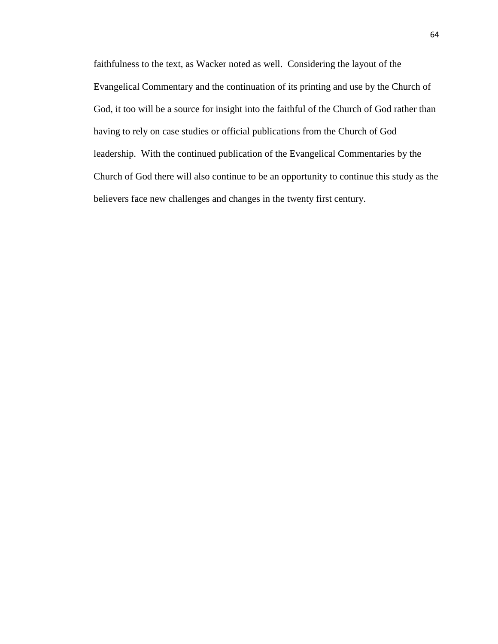faithfulness to the text, as Wacker noted as well. Considering the layout of the Evangelical Commentary and the continuation of its printing and use by the Church of God, it too will be a source for insight into the faithful of the Church of God rather than having to rely on case studies or official publications from the Church of God leadership. With the continued publication of the Evangelical Commentaries by the Church of God there will also continue to be an opportunity to continue this study as the believers face new challenges and changes in the twenty first century.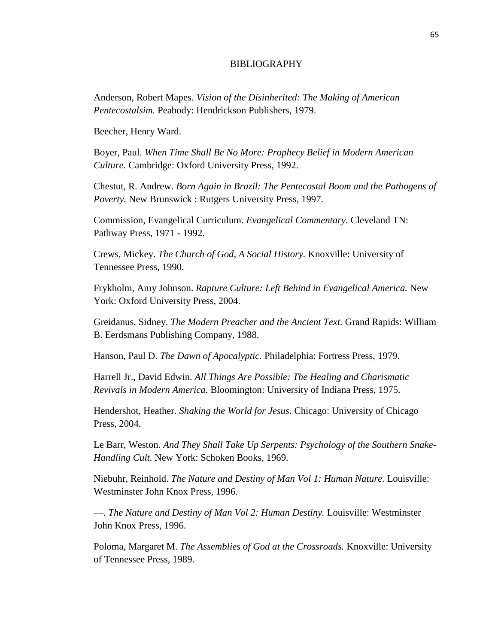### BIBLIOGRAPHY

Anderson, Robert Mapes. *Vision of the Disinherited: The Making of American Pentecostalsim.* Peabody: Hendrickson Publishers, 1979.

Beecher, Henry Ward.

Boyer, Paul. *When Time Shall Be No More: Prophecy Belief in Modern American Culture.* Cambridge: Oxford University Press, 1992.

Chestut, R. Andrew. *Born Again in Brazil: The Pentecostal Boom and the Pathogens of Poverty.* New Brunswick : Rutgers University Press, 1997.

Commission, Evangelical Curriculum. *Evangelical Commentary.* Cleveland TN: Pathway Press, 1971 - 1992.

Crews, Mickey. *The Church of God, A Social History.* Knoxville: University of Tennessee Press, 1990.

Frykholm, Amy Johnson. *Rapture Culture: Left Behind in Evangelical America.* New York: Oxford University Press, 2004.

Greidanus, Sidney. *The Modern Preacher and the Ancient Text.* Grand Rapids: William B. Eerdsmans Publishing Company, 1988.

Hanson, Paul D. *The Dawn of Apocalyptic.* Philadelphia: Fortress Press, 1979.

Harrell Jr., David Edwin. *All Things Are Possible: The Healing and Charismatic Revivals in Modern America.* Bloomington: University of Indiana Press, 1975.

Hendershot, Heather. *Shaking the World for Jesus.* Chicago: University of Chicago Press, 2004.

Le Barr, Weston. *And They Shall Take Up Serpents: Psychology of the Southern Snake-Handling Cult.* New York: Schoken Books, 1969.

Niebuhr, Reinhold. *The Nature and Destiny of Man Vol 1: Human Nature.* Louisville: Westminster John Knox Press, 1996.

—. *The Nature and Destiny of Man Vol 2: Human Destiny.* Louisville: Westminster John Knox Press, 1996.

Poloma, Margaret M. *The Assemblies of God at the Crossroads.* Knoxville: University of Tennessee Press, 1989.